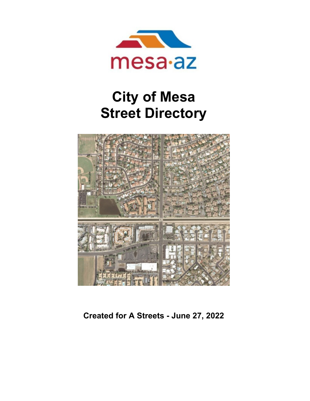

## **City of Mesa Street Directory**



**Created for A Streets - June 27, 2022**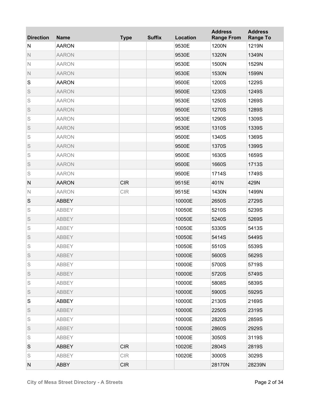| <b>Direction</b> | <b>Name</b>  | <b>Type</b> | <b>Suffix</b> | Location | <b>Address</b><br><b>Range From</b> | <b>Address</b><br><b>Range To</b> |
|------------------|--------------|-------------|---------------|----------|-------------------------------------|-----------------------------------|
| N                | <b>AARON</b> |             |               | 9530E    | 1200N                               | 1219N                             |
| $\mathbb N$      | <b>AARON</b> |             |               | 9530E    | 1320N                               | 1349N                             |
| $\mathsf{N}$     | <b>AARON</b> |             |               | 9530E    | 1500N                               | 1529N                             |
| $\mathbb N$      | <b>AARON</b> |             |               | 9530E    | 1530N                               | 1599N                             |
| S                | <b>AARON</b> |             |               | 9500E    | 1200S                               | 1229S                             |
| S                | <b>AARON</b> |             |               | 9500E    | 1230S                               | 1249S                             |
| S                | <b>AARON</b> |             |               | 9530E    | 1250S                               | 1269S                             |
| S                | <b>AARON</b> |             |               | 9500E    | 1270S                               | 1289S                             |
| S                | <b>AARON</b> |             |               | 9530E    | 1290S                               | 1309S                             |
| S                | <b>AARON</b> |             |               | 9530E    | 1310S                               | 1339S                             |
| S                | <b>AARON</b> |             |               | 9500E    | 1340S                               | 1369S                             |
| S                | <b>AARON</b> |             |               | 9500E    | 1370S                               | 1399S                             |
| S                | <b>AARON</b> |             |               | 9500E    | 1630S                               | 1659S                             |
| S                | <b>AARON</b> |             |               | 9500E    | 1660S                               | 1713S                             |
| S                | <b>AARON</b> |             |               | 9500E    | 1714S                               | 1749S                             |
| ${\sf N}$        | <b>AARON</b> | <b>CIR</b>  |               | 9515E    | 401N                                | 429N                              |
| $\mathbb N$      | <b>AARON</b> | <b>CIR</b>  |               | 9515E    | 1430N                               | 1499N                             |
| S                | <b>ABBEY</b> |             |               | 10000E   | 2650S                               | 2729S                             |
| S                | <b>ABBEY</b> |             |               | 10050E   | 5210S                               | 5239S                             |
| S                | <b>ABBEY</b> |             |               | 10050E   | 5240S                               | 5269S                             |
| S                | ABBEY        |             |               | 10050E   | 5330S                               | 5413S                             |
| S                | <b>ABBEY</b> |             |               | 10050E   | 5414S                               | 5449S                             |
| S                | <b>ABBEY</b> |             |               | 10050E   | 5510S                               | 5539S                             |
| S                | ABBEY        |             |               | 10000E   | 5600S                               | 5629S                             |
| S                | <b>ABBEY</b> |             |               | 10000E   | 5700S                               | 5719S                             |
| S                | <b>ABBEY</b> |             |               | 10000E   | 5720S                               | 5749S                             |
| S                | <b>ABBEY</b> |             |               | 10000E   | 5808S                               | 5839S                             |
| S                | <b>ABBEY</b> |             |               | 10000E   | 5900S                               | 5929S                             |
| S                | ABBEY        |             |               | 10000E   | 2130S                               | 2169S                             |
| S                | <b>ABBEY</b> |             |               | 10000E   | 2250S                               | 2319S                             |
| S                | <b>ABBEY</b> |             |               | 10000E   | 2820S                               | 2859S                             |
| S                | <b>ABBEY</b> |             |               | 10000E   | 2860S                               | 2929S                             |
| S                | <b>ABBEY</b> |             |               | 10000E   | 3050S                               | 3119S                             |
| S                | <b>ABBEY</b> | <b>CIR</b>  |               | 10020E   | 2804S                               | 2819S                             |
| S                | ABBEY        | CIR         |               | 10020E   | 3000S                               | 3029S                             |
| N                | <b>ABBY</b>  | <b>CIR</b>  |               |          | 28170N                              | 28239N                            |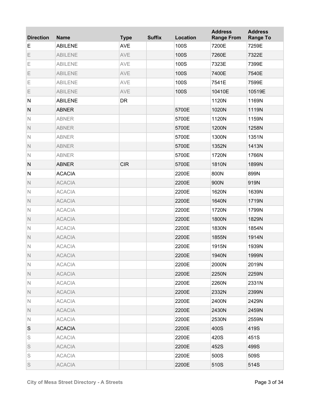| <b>Direction</b> | <b>Name</b>    | <b>Type</b> | <b>Suffix</b> | Location | <b>Address</b><br><b>Range From</b> | <b>Address</b><br><b>Range To</b> |
|------------------|----------------|-------------|---------------|----------|-------------------------------------|-----------------------------------|
| E                | <b>ABILENE</b> | <b>AVE</b>  |               | 100S     | 7200E                               | 7259E                             |
| Ε                | <b>ABILENE</b> | AVE         |               | 100S     | 7260E                               | 7322E                             |
| Ε                | <b>ABILENE</b> | AVE         |               | 100S     | 7323E                               | 7399E                             |
| Ε                | <b>ABILENE</b> | AVE         |               | 100S     | 7400E                               | 7540E                             |
| Ε                | <b>ABILENE</b> | AVE         |               | 100S     | 7541E                               | 7599E                             |
| Ε                | <b>ABILENE</b> | AVE         |               | 100S     | 10410E                              | 10519E                            |
| ${\sf N}$        | <b>ABILENE</b> | <b>DR</b>   |               |          | 1120N                               | 1169N                             |
| $\mathsf{N}$     | <b>ABNER</b>   |             |               | 5700E    | 1020N                               | 1119N                             |
| $\mathbb N$      | <b>ABNER</b>   |             |               | 5700E    | 1120N                               | 1159N                             |
| $\mathbb N$      | <b>ABNER</b>   |             |               | 5700E    | 1200N                               | 1258N                             |
| $\mathbb N$      | <b>ABNER</b>   |             |               | 5700E    | 1300N                               | 1351N                             |
| $\mathbb N$      | <b>ABNER</b>   |             |               | 5700E    | 1352N                               | 1413N                             |
| $\mathbb N$      | <b>ABNER</b>   |             |               | 5700E    | 1720N                               | 1766N                             |
| $\mathsf{N}$     | <b>ABNER</b>   | <b>CIR</b>  |               | 5700E    | 1810N                               | 1899N                             |
| ${\sf N}$        | <b>ACACIA</b>  |             |               | 2200E    | 800N                                | 899N                              |
| $\mathbb N$      | <b>ACACIA</b>  |             |               | 2200E    | 900N                                | 919N                              |
| $\mathbb N$      | <b>ACACIA</b>  |             |               | 2200E    | 1620N                               | 1639N                             |
| $\mathbb N$      | <b>ACACIA</b>  |             |               | 2200E    | 1640N                               | 1719N                             |
| $\mathbb N$      | <b>ACACIA</b>  |             |               | 2200E    | 1720N                               | 1799N                             |
| $\mathbb N$      | <b>ACACIA</b>  |             |               | 2200E    | 1800N                               | 1829N                             |
| $\mathbb N$      | <b>ACACIA</b>  |             |               | 2200E    | 1830N                               | 1854N                             |
| $\mathbb N$      | <b>ACACIA</b>  |             |               | 2200E    | 1855N                               | 1914N                             |
| $\mathbb N$      | <b>ACACIA</b>  |             |               | 2200E    | 1915N                               | 1939N                             |
| Ν                | <b>ACACIA</b>  |             |               | 2200E    | 1940N                               | 1999N                             |
| N                | <b>ACACIA</b>  |             |               | 2200E    | 2000N                               | 2019N                             |
| $\mathbb N$      | <b>ACACIA</b>  |             |               | 2200E    | 2250N                               | 2259N                             |
| $\mathbb N$      | <b>ACACIA</b>  |             |               | 2200E    | 2260N                               | 2331N                             |
| $\mathbb N$      | <b>ACACIA</b>  |             |               | 2200E    | 2332N                               | 2399N                             |
| N                | <b>ACACIA</b>  |             |               | 2200E    | 2400N                               | 2429N                             |
| $\mathbb N$      | <b>ACACIA</b>  |             |               | 2200E    | 2430N                               | 2459N                             |
| N                | <b>ACACIA</b>  |             |               | 2200E    | 2530N                               | 2559N                             |
| S                | <b>ACACIA</b>  |             |               | 2200E    | 400S                                | 419S                              |
| S                | <b>ACACIA</b>  |             |               | 2200E    | 420S                                | 451S                              |
| S                | <b>ACACIA</b>  |             |               | 2200E    | 452S                                | 499S                              |
| S                | <b>ACACIA</b>  |             |               | 2200E    | 500S                                | 509S                              |
| S                | <b>ACACIA</b>  |             |               | 2200E    | 510S                                | 514S                              |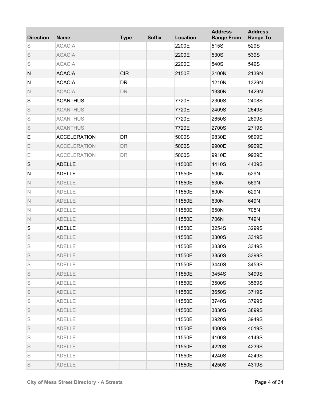| <b>Direction</b> | <b>Name</b>         | <b>Type</b> | <b>Suffix</b> | <b>Location</b> | <b>Address</b><br><b>Range From</b> | <b>Address</b><br><b>Range To</b> |
|------------------|---------------------|-------------|---------------|-----------------|-------------------------------------|-----------------------------------|
| S                | <b>ACACIA</b>       |             |               | 2200E           | 515S                                | 529S                              |
| S                | <b>ACACIA</b>       |             |               | 2200E           | 530S                                | 539S                              |
| S                | <b>ACACIA</b>       |             |               | 2200E           | 540S                                | 549S                              |
| N                | <b>ACACIA</b>       | <b>CIR</b>  |               | 2150E           | 2100N                               | 2139N                             |
| N                | <b>ACACIA</b>       | <b>DR</b>   |               |                 | 1210N                               | 1329N                             |
| $\mathsf{N}$     | <b>ACACIA</b>       | <b>DR</b>   |               |                 | 1330N                               | 1429N                             |
| S                | <b>ACANTHUS</b>     |             |               | 7720E           | 2300S                               | 2408S                             |
| S                | <b>ACANTHUS</b>     |             |               | 7720E           | 2409S                               | 2649S                             |
| S                | <b>ACANTHUS</b>     |             |               | 7720E           | 2650S                               | 2699S                             |
| S                | <b>ACANTHUS</b>     |             |               | 7720E           | 2700S                               | 2719S                             |
| E                | <b>ACCELERATION</b> | <b>DR</b>   |               | 5000S           | 9830E                               | 9899E                             |
| Ε                | <b>ACCELERATION</b> | <b>DR</b>   |               | 5000S           | 9900E                               | 9909E                             |
| Ε                | <b>ACCELERATION</b> | <b>DR</b>   |               | 5000S           | 9910E                               | 9929E                             |
| S                | <b>ADELLE</b>       |             |               | 11500E          | 4410S                               | 4439S                             |
| $\mathsf{N}$     | <b>ADELLE</b>       |             |               | 11550E          | 500N                                | 529N                              |
| $\mathsf{N}$     | <b>ADELLE</b>       |             |               | 11550E          | 530N                                | 569N                              |
| $\mathsf{N}$     | <b>ADELLE</b>       |             |               | 11550E          | 600N                                | 629N                              |
| $\mathbb N$      | <b>ADELLE</b>       |             |               | 11550E          | 630N                                | 649N                              |
| $\mathbb N$      | <b>ADELLE</b>       |             |               | 11550E          | 650N                                | 705N                              |
| $\mathsf{N}$     | <b>ADELLE</b>       |             |               | 11550E          | 706N                                | 749N                              |
| ${\mathsf S}$    | <b>ADELLE</b>       |             |               | 11550E          | 3254S                               | 3299S                             |
| S                | <b>ADELLE</b>       |             |               | 11550E          | 3300S                               | 3319S                             |
| S                | <b>ADELLE</b>       |             |               | 11550E          | 3330S                               | 3349S                             |
| S                | <b>ADELLE</b>       |             |               | 11550E          | 3350S                               | 3399S                             |
| S                | <b>ADELLE</b>       |             |               | 11550E          | 3440S                               | 3453S                             |
| S                | <b>ADELLE</b>       |             |               | 11550E          | 3454S                               | 3499S                             |
| S                | <b>ADELLE</b>       |             |               | 11550E          | 3500S                               | 3569S                             |
| S                | <b>ADELLE</b>       |             |               | 11550E          | 3650S                               | 3719S                             |
| S                | <b>ADELLE</b>       |             |               | 11550E          | 3740S                               | 3799S                             |
| S                | <b>ADELLE</b>       |             |               | 11550E          | 3830S                               | 3899S                             |
| S                | <b>ADELLE</b>       |             |               | 11550E          | 3920S                               | 3949S                             |
| S                | <b>ADELLE</b>       |             |               | 11550E          | 4000S                               | 4019S                             |
| S                | <b>ADELLE</b>       |             |               | 11550E          | 4100S                               | 4149S                             |
| S                | <b>ADELLE</b>       |             |               | 11550E          | 4220S                               | 4239S                             |
| S                | <b>ADELLE</b>       |             |               | 11550E          | 4240S                               | 4249S                             |
| S                | <b>ADELLE</b>       |             |               | 11550E          | 4250S                               | 4319S                             |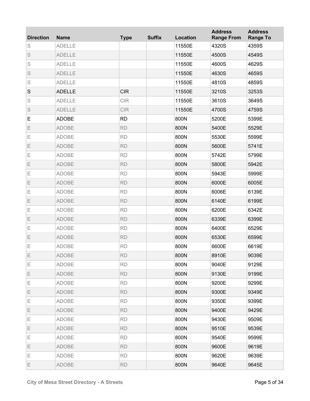| <b>Direction</b> | <b>Name</b>   | <b>Type</b> | <b>Suffix</b> | <b>Location</b> | <b>Address</b><br><b>Range From</b> | <b>Address</b><br><b>Range To</b> |
|------------------|---------------|-------------|---------------|-----------------|-------------------------------------|-----------------------------------|
| S                | <b>ADELLE</b> |             |               | 11550E          | 4320S                               | 4359S                             |
| S                | <b>ADELLE</b> |             |               | 11550E          | 4500S                               | 4549S                             |
| S                | <b>ADELLE</b> |             |               | 11550E          | 4600S                               | 4629S                             |
| S                | <b>ADELLE</b> |             |               | 11550E          | 4630S                               | 4659S                             |
| S                | <b>ADELLE</b> |             |               | 11550E          | 4810S                               | 4859S                             |
| $\mathbf S$      | <b>ADELLE</b> | <b>CIR</b>  |               | 11550E          | 3210S                               | 3253S                             |
| S                | <b>ADELLE</b> | <b>CIR</b>  |               | 11550E          | 3610S                               | 3649S                             |
| S                | <b>ADELLE</b> | <b>CIR</b>  |               | 11550E          | 4700S                               | 4759S                             |
| Е                | <b>ADOBE</b>  | <b>RD</b>   |               | 800N            | 5200E                               | 5399E                             |
| Ε                | <b>ADOBE</b>  | <b>RD</b>   |               | 800N            | 5400E                               | 5529E                             |
| Ε                | <b>ADOBE</b>  | <b>RD</b>   |               | 800N            | 5530E                               | 5599E                             |
| Ε                | <b>ADOBE</b>  | <b>RD</b>   |               | 800N            | 5600E                               | 5741E                             |
| Ε                | <b>ADOBE</b>  | <b>RD</b>   |               | 800N            | 5742E                               | 5799E                             |
| Ε                | <b>ADOBE</b>  | <b>RD</b>   |               | 800N            | 5800E                               | 5942E                             |
| Ε                | <b>ADOBE</b>  | <b>RD</b>   |               | 800N            | 5943E                               | 5999E                             |
| Ε                | <b>ADOBE</b>  | <b>RD</b>   |               | 800N            | 6000E                               | 6005E                             |
| Ε                | <b>ADOBE</b>  | <b>RD</b>   |               | 800N            | 6006E                               | 6139E                             |
| Ε                | <b>ADOBE</b>  | <b>RD</b>   |               | 800N            | 6140E                               | 6199E                             |
| Ε                | <b>ADOBE</b>  | <b>RD</b>   |               | 800N            | 6200E                               | 6342E                             |
| Ε                | <b>ADOBE</b>  | <b>RD</b>   |               | 800N            | 6339E                               | 6399E                             |
| Ε                | <b>ADOBE</b>  | <b>RD</b>   |               | 800N            | 6400E                               | 6529E                             |
| Ε                | <b>ADOBE</b>  | <b>RD</b>   |               | 800N            | 6530E                               | 6599E                             |
| Ε                | <b>ADOBE</b>  | <b>RD</b>   |               | 800N            | 6600E                               | 6619E                             |
| Ε                | <b>ADOBE</b>  | <b>RD</b>   |               | 800N            | 8910E                               | 9039E                             |
| Ε                | <b>ADOBE</b>  | <b>RD</b>   |               | 800N            | 9040E                               | 9129E                             |
| Е                | <b>ADOBE</b>  | <b>RD</b>   |               | 800N            | 9130E                               | 9199E                             |
| Ε                | <b>ADOBE</b>  | <b>RD</b>   |               | 800N            | 9200E                               | 9299E                             |
| Е                | <b>ADOBE</b>  | <b>RD</b>   |               | 800N            | 9300E                               | 9349E                             |
| Ε                | ADOBE         | <b>RD</b>   |               | 800N            | 9350E                               | 9399E                             |
| Е                | <b>ADOBE</b>  | <b>RD</b>   |               | 800N            | 9400E                               | 9429E                             |
| Ε                | ADOBE         | <b>RD</b>   |               | 800N            | 9430E                               | 9509E                             |
| Е                | <b>ADOBE</b>  | <b>RD</b>   |               | 800N            | 9510E                               | 9539E                             |
| Е                | ADOBE         | <b>RD</b>   |               | 800N            | 9540E                               | 9599E                             |
| Е                | <b>ADOBE</b>  | <b>RD</b>   |               | 800N            | 9600E                               | 9619E                             |
| Ε                | <b>ADOBE</b>  | <b>RD</b>   |               | 800N            | 9620E                               | 9639E                             |
| Ε                | <b>ADOBE</b>  | <b>RD</b>   |               | 800N            | 9640E                               | 9645E                             |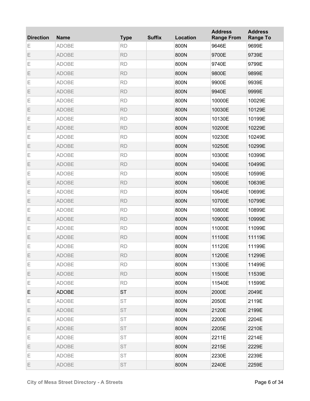| <b>Direction</b> | <b>Name</b>  | <b>Type</b> | <b>Suffix</b> | Location | <b>Address</b><br><b>Range From</b> | <b>Address</b><br><b>Range To</b> |
|------------------|--------------|-------------|---------------|----------|-------------------------------------|-----------------------------------|
| Ε                | <b>ADOBE</b> | <b>RD</b>   |               | 800N     | 9646E                               | 9699E                             |
| Ε                | <b>ADOBE</b> | <b>RD</b>   |               | 800N     | 9700E                               | 9739E                             |
| Ε                | <b>ADOBE</b> | <b>RD</b>   |               | 800N     | 9740E                               | 9799E                             |
| Ε                | <b>ADOBE</b> | <b>RD</b>   |               | 800N     | 9800E                               | 9899E                             |
| Ε                | <b>ADOBE</b> | <b>RD</b>   |               | 800N     | 9900E                               | 9939E                             |
| Ε                | <b>ADOBE</b> | <b>RD</b>   |               | 800N     | 9940E                               | 9999E                             |
| Ε                | <b>ADOBE</b> | <b>RD</b>   |               | 800N     | 10000E                              | 10029E                            |
| Ε                | <b>ADOBE</b> | <b>RD</b>   |               | 800N     | 10030E                              | 10129E                            |
| Ε                | <b>ADOBE</b> | <b>RD</b>   |               | 800N     | 10130E                              | 10199E                            |
| Ε                | <b>ADOBE</b> | <b>RD</b>   |               | 800N     | 10200E                              | 10229E                            |
| Ε                | <b>ADOBE</b> | <b>RD</b>   |               | 800N     | 10230E                              | 10249E                            |
| Ε                | <b>ADOBE</b> | <b>RD</b>   |               | 800N     | 10250E                              | 10299E                            |
| Ε                | <b>ADOBE</b> | <b>RD</b>   |               | 800N     | 10300E                              | 10399E                            |
| Ε                | <b>ADOBE</b> | <b>RD</b>   |               | 800N     | 10400E                              | 10499E                            |
| Ε                | <b>ADOBE</b> | <b>RD</b>   |               | 800N     | 10500E                              | 10599E                            |
| Ε                | <b>ADOBE</b> | <b>RD</b>   |               | 800N     | 10600E                              | 10639E                            |
| Ε                | <b>ADOBE</b> | <b>RD</b>   |               | 800N     | 10640E                              | 10699E                            |
| Ε                | <b>ADOBE</b> | <b>RD</b>   |               | 800N     | 10700E                              | 10799E                            |
| Ε                | <b>ADOBE</b> | <b>RD</b>   |               | 800N     | 10800E                              | 10899E                            |
| Ε                | <b>ADOBE</b> | <b>RD</b>   |               | 800N     | 10900E                              | 10999E                            |
| Ε                | <b>ADOBE</b> | <b>RD</b>   |               | 800N     | 11000E                              | 11099E                            |
| Ε                | <b>ADOBE</b> | <b>RD</b>   |               | 800N     | 11100E                              | 11119E                            |
| Ε                | <b>ADOBE</b> | <b>RD</b>   |               | 800N     | 11120E                              | 11199E                            |
| Ε                | ADOBE        | <b>RD</b>   |               | 800N     | 11200E                              | 11299E                            |
| Е                | <b>ADOBE</b> | <b>RD</b>   |               | 800N     | 11300E                              | 11499E                            |
| Е                | <b>ADOBE</b> | <b>RD</b>   |               | 800N     | 11500E                              | 11539E                            |
| Е                | <b>ADOBE</b> | <b>RD</b>   |               | 800N     | 11540E                              | 11599E                            |
| Е                | <b>ADOBE</b> | <b>ST</b>   |               | 800N     | 2000E                               | 2049E                             |
| Е                | ADOBE        | ST          |               | 800N     | 2050E                               | 2119E                             |
| Е                | <b>ADOBE</b> | ST          |               | 800N     | 2120E                               | 2199E                             |
| Е                | ADOBE        | ST          |               | 800N     | 2200E                               | 2204E                             |
| Е                | <b>ADOBE</b> | ST          |               | 800N     | 2205E                               | 2210E                             |
| Е                | <b>ADOBE</b> | ST          |               | 800N     | 2211E                               | 2214E                             |
| Е                | <b>ADOBE</b> | <b>ST</b>   |               | 800N     | 2215E                               | 2229E                             |
| Е                | <b>ADOBE</b> | ST          |               | 800N     | 2230E                               | 2239E                             |
| Ε                | ADOBE        | <b>ST</b>   |               | 800N     | 2240E                               | 2259E                             |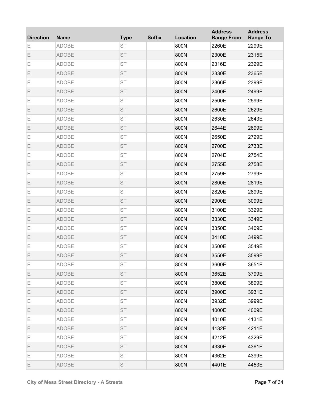| <b>Direction</b> | <b>Name</b>  | <b>Type</b> | <b>Suffix</b> | Location | <b>Address</b><br><b>Range From</b> | <b>Address</b><br><b>Range To</b> |
|------------------|--------------|-------------|---------------|----------|-------------------------------------|-----------------------------------|
| Ε                | <b>ADOBE</b> | <b>ST</b>   |               | 800N     | 2260E                               | 2299E                             |
| Ε                | <b>ADOBE</b> | <b>ST</b>   |               | 800N     | 2300E                               | 2315E                             |
| Ε                | <b>ADOBE</b> | <b>ST</b>   |               | 800N     | 2316E                               | 2329E                             |
| Ε                | <b>ADOBE</b> | <b>ST</b>   |               | 800N     | 2330E                               | 2365E                             |
| Ε                | <b>ADOBE</b> | <b>ST</b>   |               | 800N     | 2366E                               | 2399E                             |
| Ε                | <b>ADOBE</b> | <b>ST</b>   |               | 800N     | 2400E                               | 2499E                             |
| Ε                | <b>ADOBE</b> | <b>ST</b>   |               | 800N     | 2500E                               | 2599E                             |
| Ε                | <b>ADOBE</b> | <b>ST</b>   |               | 800N     | 2600E                               | 2629E                             |
| Ε                | <b>ADOBE</b> | <b>ST</b>   |               | 800N     | 2630E                               | 2643E                             |
| Ε                | <b>ADOBE</b> | <b>ST</b>   |               | 800N     | 2644E                               | 2699E                             |
| Ε                | <b>ADOBE</b> | <b>ST</b>   |               | 800N     | 2650E                               | 2729E                             |
| Ε                | <b>ADOBE</b> | <b>ST</b>   |               | 800N     | 2700E                               | 2733E                             |
| Ε                | <b>ADOBE</b> | <b>ST</b>   |               | 800N     | 2704E                               | 2754E                             |
| Ε                | <b>ADOBE</b> | <b>ST</b>   |               | 800N     | 2755E                               | 2758E                             |
| Ε                | <b>ADOBE</b> | <b>ST</b>   |               | 800N     | 2759E                               | 2799E                             |
| Ε                | <b>ADOBE</b> | <b>ST</b>   |               | 800N     | 2800E                               | 2819E                             |
| Ε                | <b>ADOBE</b> | <b>ST</b>   |               | 800N     | 2820E                               | 2899E                             |
| Ε                | <b>ADOBE</b> | <b>ST</b>   |               | 800N     | 2900E                               | 3099E                             |
| Ε                | <b>ADOBE</b> | <b>ST</b>   |               | 800N     | 3100E                               | 3329E                             |
| Ε                | <b>ADOBE</b> | <b>ST</b>   |               | 800N     | 3330E                               | 3349E                             |
| Ε                | <b>ADOBE</b> | <b>ST</b>   |               | 800N     | 3350E                               | 3409E                             |
| Ε                | <b>ADOBE</b> | <b>ST</b>   |               | 800N     | 3410E                               | 3499E                             |
| Ε                | <b>ADOBE</b> | <b>ST</b>   |               | 800N     | 3500E                               | 3549E                             |
| Ε                | ADOBE        | <b>ST</b>   |               | 800N     | 3550E                               | 3599E                             |
| Ε                | <b>ADOBE</b> | <b>ST</b>   |               | 800N     | 3600E                               | 3651E                             |
| Е                | <b>ADOBE</b> | ST          |               | 800N     | 3652E                               | 3799E                             |
| Е                | <b>ADOBE</b> | ST          |               | 800N     | 3800E                               | 3899E                             |
| Е                | <b>ADOBE</b> | ST          |               | 800N     | 3900E                               | 3931E                             |
| Е                | <b>ADOBE</b> | ST          |               | 800N     | 3932E                               | 3999E                             |
| Е                | <b>ADOBE</b> | ST          |               | 800N     | 4000E                               | 4009E                             |
| Е                | <b>ADOBE</b> | ST          |               | 800N     | 4010E                               | 4131E                             |
| Е                | <b>ADOBE</b> | ST          |               | 800N     | 4132E                               | 4211E                             |
| Е                | <b>ADOBE</b> | ST          |               | 800N     | 4212E                               | 4329E                             |
| Е                | <b>ADOBE</b> | <b>ST</b>   |               | 800N     | 4330E                               | 4361E                             |
| Е                | <b>ADOBE</b> | ST          |               | 800N     | 4362E                               | 4399E                             |
| Ε                | ADOBE        | <b>ST</b>   |               | 800N     | 4401E                               | 4453E                             |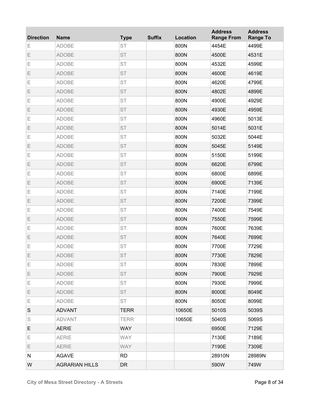| <b>Direction</b> | <b>Name</b>           | <b>Type</b> | <b>Suffix</b> | Location | <b>Address</b><br><b>Range From</b> | <b>Address</b><br><b>Range To</b> |
|------------------|-----------------------|-------------|---------------|----------|-------------------------------------|-----------------------------------|
| Ε                | <b>ADOBE</b>          | <b>ST</b>   |               | 800N     | 4454E                               | 4499E                             |
| Ε                | <b>ADOBE</b>          | <b>ST</b>   |               | 800N     | 4500E                               | 4531E                             |
| Е                | <b>ADOBE</b>          | <b>ST</b>   |               | 800N     | 4532E                               | 4599E                             |
| Ε                | <b>ADOBE</b>          | <b>ST</b>   |               | 800N     | 4600E                               | 4619E                             |
| Е                | <b>ADOBE</b>          | <b>ST</b>   |               | 800N     | 4620E                               | 4799E                             |
| Ε                | <b>ADOBE</b>          | <b>ST</b>   |               | 800N     | 4802E                               | 4899E                             |
| E                | <b>ADOBE</b>          | <b>ST</b>   |               | 800N     | 4900E                               | 4929E                             |
| Ε                | <b>ADOBE</b>          | <b>ST</b>   |               | 800N     | 4930E                               | 4959E                             |
| Е                | <b>ADOBE</b>          | <b>ST</b>   |               | 800N     | 4960E                               | 5013E                             |
| Ε                | <b>ADOBE</b>          | <b>ST</b>   |               | 800N     | 5014E                               | 5031E                             |
| Е                | <b>ADOBE</b>          | <b>ST</b>   |               | 800N     | 5032E                               | 5044E                             |
| Ε                | ADOBE                 | <b>ST</b>   |               | 800N     | 5045E                               | 5149E                             |
| E                | <b>ADOBE</b>          | <b>ST</b>   |               | 800N     | 5150E                               | 5199E                             |
| Ε                | <b>ADOBE</b>          | <b>ST</b>   |               | 800N     | 6620E                               | 6799E                             |
| Е                | <b>ADOBE</b>          | <b>ST</b>   |               | 800N     | 6800E                               | 6899E                             |
| Ε                | <b>ADOBE</b>          | <b>ST</b>   |               | 800N     | 6900E                               | 7139E                             |
| Е                | <b>ADOBE</b>          | <b>ST</b>   |               | 800N     | 7140E                               | 7199E                             |
| Ε                | <b>ADOBE</b>          | <b>ST</b>   |               | 800N     | 7200E                               | 7399E                             |
| E                | <b>ADOBE</b>          | <b>ST</b>   |               | 800N     | 7400E                               | 7549E                             |
| Ε                | <b>ADOBE</b>          | <b>ST</b>   |               | 800N     | 7550E                               | 7599E                             |
| Е                | <b>ADOBE</b>          | <b>ST</b>   |               | 800N     | 7600E                               | 7639E                             |
| Ε                | <b>ADOBE</b>          | <b>ST</b>   |               | 800N     | 7640E                               | 7699E                             |
| Ε                | <b>ADOBE</b>          | <b>ST</b>   |               | 800N     | 7700E                               | 7729E                             |
| Ε                | ADOBE                 | ST          |               | 800N     | 7730E                               | 7829E                             |
| Е                | <b>ADOBE</b>          | <b>ST</b>   |               | 800N     | 7830E                               | 7899E                             |
| E                | <b>ADOBE</b>          | <b>ST</b>   |               | 800N     | 7900E                               | 7929E                             |
| Е                | <b>ADOBE</b>          | ST          |               | 800N     | 7930E                               | 7999E                             |
| E                | <b>ADOBE</b>          | ST          |               | 800N     | 8000E                               | 8049E                             |
| Е                | <b>ADOBE</b>          | ST          |               | 800N     | 8050E                               | 8099E                             |
| S                | <b>ADVANT</b>         | <b>TERR</b> |               | 10650E   | 5010S                               | 5039S                             |
| S                | <b>ADVANT</b>         | <b>TERR</b> |               | 10650E   | 5040S                               | 5069S                             |
| E                | <b>AERIE</b>          | <b>WAY</b>  |               |          | 6950E                               | 7129E                             |
| Е                | <b>AERIE</b>          | <b>WAY</b>  |               |          | 7130E                               | 7189E                             |
| E                | <b>AERIE</b>          | <b>WAY</b>  |               |          | 7190E                               | 7309E                             |
| N                | <b>AGAVE</b>          | <b>RD</b>   |               |          | 28910N                              | 28989N                            |
| W                | <b>AGRARIAN HILLS</b> | <b>DR</b>   |               |          | 590W                                | 749W                              |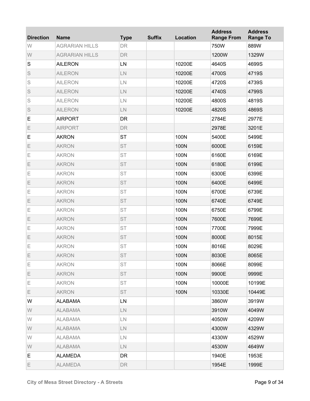| <b>Direction</b> | <b>Name</b>           | <b>Type</b>   | <b>Suffix</b> | Location | <b>Address</b><br><b>Range From</b> | <b>Address</b><br><b>Range To</b> |
|------------------|-----------------------|---------------|---------------|----------|-------------------------------------|-----------------------------------|
| W                | <b>AGRARIAN HILLS</b> | <b>DR</b>     |               |          | 750W                                | 889W                              |
| W                | <b>AGRARIAN HILLS</b> | DR            |               |          | 1200W                               | 1329W                             |
| $\mathbf S$      | <b>AILERON</b>        | LN            |               | 10200E   | 4640S                               | 4699S                             |
| S                | <b>AILERON</b>        | LN            |               | 10200E   | 4700S                               | 4719S                             |
| S                | <b>AILERON</b>        | $\mathsf{LN}$ |               | 10200E   | 4720S                               | 4739S                             |
| S                | <b>AILERON</b>        | $\mathsf{LN}$ |               | 10200E   | 4740S                               | 4799S                             |
| S                | <b>AILERON</b>        | $\mathsf{LN}$ |               | 10200E   | 4800S                               | 4819S                             |
| S                | <b>AILERON</b>        | LN            |               | 10200E   | 4820S                               | 4869S                             |
| E                | <b>AIRPORT</b>        | DR            |               |          | 2784E                               | 2977E                             |
| Ε                | <b>AIRPORT</b>        | DR            |               |          | 2978E                               | 3201E                             |
| E                | <b>AKRON</b>          | <b>ST</b>     |               | 100N     | 5400E                               | 5499E                             |
| Ε                | <b>AKRON</b>          | <b>ST</b>     |               | 100N     | 6000E                               | 6159E                             |
| E                | <b>AKRON</b>          | <b>ST</b>     |               | 100N     | 6160E                               | 6169E                             |
| Ε                | <b>AKRON</b>          | <b>ST</b>     |               | 100N     | 6180E                               | 6199E                             |
| E                | <b>AKRON</b>          | <b>ST</b>     |               | 100N     | 6300E                               | 6399E                             |
| Ε                | <b>AKRON</b>          | <b>ST</b>     |               | 100N     | 6400E                               | 6499E                             |
| Е                | <b>AKRON</b>          | <b>ST</b>     |               | 100N     | 6700E                               | 6739E                             |
| Ε                | <b>AKRON</b>          | <b>ST</b>     |               | 100N     | 6740E                               | 6749E                             |
| E                | <b>AKRON</b>          | <b>ST</b>     |               | 100N     | 6750E                               | 6799E                             |
| Ε                | <b>AKRON</b>          | <b>ST</b>     |               | 100N     | 7600E                               | 7699E                             |
| E                | <b>AKRON</b>          | <b>ST</b>     |               | 100N     | 7700E                               | 7999E                             |
| Ε                | <b>AKRON</b>          | <b>ST</b>     |               | 100N     | 8000E                               | 8015E                             |
| Ε                | <b>AKRON</b>          | <b>ST</b>     |               | 100N     | 8016E                               | 8029E                             |
| Ε                | <b>AKRON</b>          | ST            |               | 100N     | 8030E                               | 8065E                             |
| Е                | <b>AKRON</b>          | <b>ST</b>     |               | 100N     | 8066E                               | 8099E                             |
| E                | <b>AKRON</b>          | <b>ST</b>     |               | 100N     | 9900E                               | 9999E                             |
| Е                | <b>AKRON</b>          | ST            |               | 100N     | 10000E                              | 10199E                            |
| E                | <b>AKRON</b>          | <b>ST</b>     |               | 100N     | 10330E                              | 10449E                            |
| W                | <b>ALABAMA</b>        | LN            |               |          | 3860W                               | 3919W                             |
| W                | <b>ALABAMA</b>        | $\mathsf{LN}$ |               |          | 3910W                               | 4049W                             |
| W                | <b>ALABAMA</b>        | LN.           |               |          | 4050W                               | 4209W                             |
| W                | <b>ALABAMA</b>        | $\mathsf{LN}$ |               |          | 4300W                               | 4329W                             |
| W                | <b>ALABAMA</b>        | LN.           |               |          | 4330W                               | 4529W                             |
| W                | <b>ALABAMA</b>        | $\mathsf{LN}$ |               |          | 4530W                               | 4649W                             |
| Е                | <b>ALAMEDA</b>        | <b>DR</b>     |               |          | 1940E                               | 1953E                             |
| E.               | <b>ALAMEDA</b>        | <b>DR</b>     |               |          | 1954E                               | 1999E                             |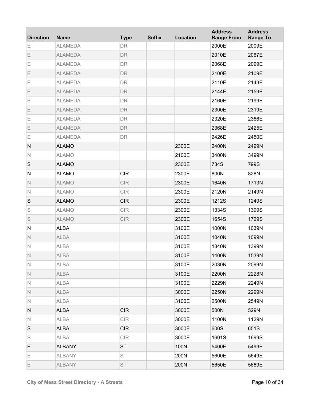| <b>Direction</b> | <b>Name</b>    | <b>Type</b> | <b>Suffix</b> | Location | <b>Address</b><br><b>Range From</b> | <b>Address</b><br><b>Range To</b> |
|------------------|----------------|-------------|---------------|----------|-------------------------------------|-----------------------------------|
| Ε                | <b>ALAMEDA</b> | DR          |               |          | 2000E                               | 2009E                             |
| Ε                | <b>ALAMEDA</b> | DR          |               |          | 2010E                               | 2067E                             |
| Ε                | <b>ALAMEDA</b> | DR          |               |          | 2068E                               | 2099E                             |
| Ε                | <b>ALAMEDA</b> | DR          |               |          | 2100E                               | 2109E                             |
| Ε                | <b>ALAMEDA</b> | DR          |               |          | 2110E                               | 2143E                             |
| Ε                | <b>ALAMEDA</b> | DR          |               |          | 2144E                               | 2159E                             |
| Ε                | <b>ALAMEDA</b> | DR          |               |          | 2160E                               | 2199E                             |
| Ε                | <b>ALAMEDA</b> | DR          |               |          | 2300E                               | 2319E                             |
| Ε                | <b>ALAMEDA</b> | DR          |               |          | 2320E                               | 2366E                             |
| Ε                | <b>ALAMEDA</b> | DR          |               |          | 2368E                               | 2425E                             |
| Ε                | <b>ALAMEDA</b> | DR          |               |          | 2426E                               | 2450E                             |
| ${\sf N}$        | <b>ALAMO</b>   |             |               | 2300E    | 2400N                               | 2499N                             |
| $\mathbb N$      | <b>ALAMO</b>   |             |               | 2100E    | 3400N                               | 3499N                             |
| S                | <b>ALAMO</b>   |             |               | 2300E    | 734S                                | 799S                              |
| ${\sf N}$        | <b>ALAMO</b>   | <b>CIR</b>  |               | 2300E    | 800N                                | 828N                              |
| $\mathbb N$      | <b>ALAMO</b>   | <b>CIR</b>  |               | 2300E    | 1640N                               | 1713N                             |
| $\mathbb N$      | <b>ALAMO</b>   | <b>CIR</b>  |               | 2300E    | 2120N                               | 2149N                             |
| S                | <b>ALAMO</b>   | <b>CIR</b>  |               | 2300E    | 1212S                               | 1249S                             |
| S                | <b>ALAMO</b>   | <b>CIR</b>  |               | 2300E    | 1334S                               | 1399S                             |
| S                | <b>ALAMO</b>   | <b>CIR</b>  |               | 2300E    | 1654S                               | 1729S                             |
| ${\sf N}$        | <b>ALBA</b>    |             |               | 3100E    | 1000N                               | 1039N                             |
| $\mathsf{N}$     | <b>ALBA</b>    |             |               | 3100E    | 1040N                               | 1099N                             |
| $\mathbb N$      | <b>ALBA</b>    |             |               | 3100E    | 1340N                               | 1399N                             |
| $\mathbb N$      | <b>ALBA</b>    |             |               | 3100E    | 1400N                               | 1539N                             |
| $\mathbb N$      | <b>ALBA</b>    |             |               | 3100E    | 2030N                               | 2099N                             |
| $\mathbb N$      | <b>ALBA</b>    |             |               | 3100E    | 2200N                               | 2228N                             |
| $\mathbb N$      | <b>ALBA</b>    |             |               | 3100E    | 2229N                               | 2249N                             |
| $\mathbb N$      | <b>ALBA</b>    |             |               | 3000E    | 2250N                               | 2299N                             |
| N                | <b>ALBA</b>    |             |               | 3100E    | 2500N                               | 2549N                             |
| N                | <b>ALBA</b>    | <b>CIR</b>  |               | 3000E    | 500N                                | 529N                              |
| N                | <b>ALBA</b>    | CIR         |               | 3000E    | 1100N                               | 1129N                             |
| S                | <b>ALBA</b>    | <b>CIR</b>  |               | 3000E    | 600S                                | 651S                              |
| S                | <b>ALBA</b>    | CIR         |               | 3000E    | 1601S                               | 1699S                             |
| E.               | <b>ALBANY</b>  | <b>ST</b>   |               | 100N     | 5400E                               | 5499E                             |
| Е                | <b>ALBANY</b>  | ST          |               | 200N     | 5600E                               | 5649E                             |
| E                | <b>ALBANY</b>  | <b>ST</b>   |               | 200N     | 5650E                               | 5669E                             |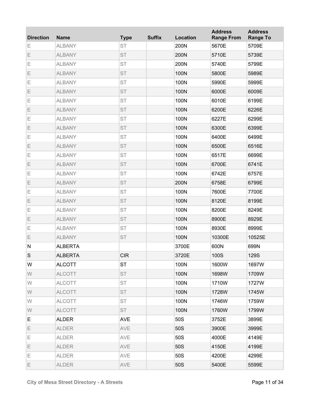| <b>Direction</b> | <b>Name</b>    | <b>Type</b> | <b>Suffix</b> | Location | <b>Address</b><br><b>Range From</b> | <b>Address</b><br><b>Range To</b> |
|------------------|----------------|-------------|---------------|----------|-------------------------------------|-----------------------------------|
| Ε                | <b>ALBANY</b>  | <b>ST</b>   |               | 200N     | 5670E                               | 5709E                             |
| Ε                | <b>ALBANY</b>  | <b>ST</b>   |               | 200N     | 5710E                               | 5739E                             |
| Е                | <b>ALBANY</b>  | <b>ST</b>   |               | 200N     | 5740E                               | 5799E                             |
| Ε                | <b>ALBANY</b>  | <b>ST</b>   |               | 100N     | 5800E                               | 5989E                             |
| Е                | <b>ALBANY</b>  | <b>ST</b>   |               | 100N     | 5990E                               | 5999E                             |
| Ε                | <b>ALBANY</b>  | <b>ST</b>   |               | 100N     | 6000E                               | 6009E                             |
| E                | <b>ALBANY</b>  | <b>ST</b>   |               | 100N     | 6010E                               | 6199E                             |
| Ε                | <b>ALBANY</b>  | <b>ST</b>   |               | 100N     | 6200E                               | 6226E                             |
| Е                | <b>ALBANY</b>  | <b>ST</b>   |               | 100N     | 6227E                               | 6299E                             |
| Ε                | <b>ALBANY</b>  | <b>ST</b>   |               | 100N     | 6300E                               | 6399E                             |
| Е                | <b>ALBANY</b>  | <b>ST</b>   |               | 100N     | 6400E                               | 6499E                             |
| Ε                | <b>ALBANY</b>  | <b>ST</b>   |               | 100N     | 6500E                               | 6516E                             |
| E                | <b>ALBANY</b>  | <b>ST</b>   |               | 100N     | 6517E                               | 6699E                             |
| Ε                | <b>ALBANY</b>  | <b>ST</b>   |               | 100N     | 6700E                               | 6741E                             |
| Е                | <b>ALBANY</b>  | <b>ST</b>   |               | 100N     | 6742E                               | 6757E                             |
| Ε                | <b>ALBANY</b>  | <b>ST</b>   |               | 200N     | 6758E                               | 6799E                             |
| Е                | <b>ALBANY</b>  | <b>ST</b>   |               | 100N     | 7600E                               | 7700E                             |
| Ε                | <b>ALBANY</b>  | <b>ST</b>   |               | 100N     | 8120E                               | 8199E                             |
| E                | <b>ALBANY</b>  | <b>ST</b>   |               | 100N     | 8200E                               | 8249E                             |
| Ε                | <b>ALBANY</b>  | <b>ST</b>   |               | 100N     | 8900E                               | 8929E                             |
| Е                | <b>ALBANY</b>  | <b>ST</b>   |               | 100N     | 8930E                               | 8999E                             |
| Е                | <b>ALBANY</b>  | <b>ST</b>   |               | 100N     | 10300E                              | 10525E                            |
| ${\sf N}$        | <b>ALBERTA</b> |             |               | 3700E    | 600N                                | 699N                              |
| S                | <b>ALBERTA</b> | CIR         |               | 3720E    | 100S                                | <b>129S</b>                       |
| W                | <b>ALCOTT</b>  | <b>ST</b>   |               | 100N     | 1600W                               | 1697W                             |
| W                | <b>ALCOTT</b>  | ST          |               | 100N     | 1698W                               | 1709W                             |
| W                | <b>ALCOTT</b>  | ST          |               | 100N     | 1710W                               | 1727W                             |
| W                | <b>ALCOTT</b>  | ST          |               | 100N     | 1728W                               | 1745W                             |
| W                | <b>ALCOTT</b>  | ST          |               | 100N     | 1746W                               | 1759W                             |
| W                | <b>ALCOTT</b>  | <b>ST</b>   |               | 100N     | 1760W                               | 1799W                             |
| E                | <b>ALDER</b>   | <b>AVE</b>  |               | 50S      | 3752E                               | 3899E                             |
| E                | <b>ALDER</b>   | AVE         |               | 50S      | 3900E                               | 3999E                             |
| Е                | <b>ALDER</b>   | AVE         |               | 50S      | 4000E                               | 4149E                             |
| E                | <b>ALDER</b>   | AVE         |               | 50S      | 4150E                               | 4199E                             |
| Е                | <b>ALDER</b>   | AVE         |               | 50S      | 4200E                               | 4299E                             |
| E                | <b>ALDER</b>   | AVE         |               | 50S      | 5400E                               | 5599E                             |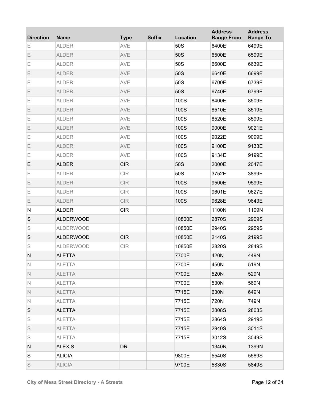| <b>Direction</b> | <b>Name</b>      | <b>Type</b> | <b>Suffix</b> | Location | <b>Address</b><br><b>Range From</b> | <b>Address</b><br><b>Range To</b> |
|------------------|------------------|-------------|---------------|----------|-------------------------------------|-----------------------------------|
| Ε                | <b>ALDER</b>     | AVE         |               | 50S      | 6400E                               | 6499E                             |
| Ε                | <b>ALDER</b>     | AVE         |               | 50S      | 6500E                               | 6599E                             |
| Ε                | <b>ALDER</b>     | AVE         |               | 50S      | 6600E                               | 6639E                             |
| Ε                | <b>ALDER</b>     | AVE         |               | 50S      | 6640E                               | 6699E                             |
| Ε                | <b>ALDER</b>     | AVE         |               | 50S      | 6700E                               | 6739E                             |
| Ε                | <b>ALDER</b>     | AVE         |               | 50S      | 6740E                               | 6799E                             |
| Ε                | <b>ALDER</b>     | AVE         |               | 100S     | 8400E                               | 8509E                             |
| Ε                | <b>ALDER</b>     | AVE         |               | 100S     | 8510E                               | 8519E                             |
| Ε                | <b>ALDER</b>     | AVE         |               | 100S     | 8520E                               | 8599E                             |
| Ε                | <b>ALDER</b>     | AVE         |               | 100S     | 9000E                               | 9021E                             |
| Ε                | <b>ALDER</b>     | AVE         |               | 100S     | 9022E                               | 9099E                             |
| Ε                | <b>ALDER</b>     | AVE         |               | 100S     | 9100E                               | 9133E                             |
| Ε                | <b>ALDER</b>     | AVE         |               | 100S     | 9134E                               | 9199E                             |
| E                | <b>ALDER</b>     | <b>CIR</b>  |               | 50S      | 2000E                               | 2047E                             |
| Ε                | <b>ALDER</b>     | <b>CIR</b>  |               | 50S      | 3752E                               | 3899E                             |
| Ε                | <b>ALDER</b>     | <b>CIR</b>  |               | 100S     | 9500E                               | 9599E                             |
| Ε                | <b>ALDER</b>     | <b>CIR</b>  |               | 100S     | 9601E                               | 9627E                             |
| Ε                | <b>ALDER</b>     | <b>CIR</b>  |               | 100S     | 9628E                               | 9643E                             |
| ${\sf N}$        | <b>ALDER</b>     | <b>CIR</b>  |               |          | 1100N                               | 1109N                             |
| S                | <b>ALDERWOOD</b> |             |               | 10800E   | 2870S                               | 2909S                             |
| S                | <b>ALDERWOOD</b> |             |               | 10850E   | 2940S                               | 2959S                             |
| S                | <b>ALDERWOOD</b> | <b>CIR</b>  |               | 10850E   | 2140S                               | 2199S                             |
| S                | <b>ALDERWOOD</b> | <b>CIR</b>  |               | 10850E   | 2820S                               | 2849S                             |
| N                | <b>ALETTA</b>    |             |               | 7700E    | 420N                                | 449N                              |
| N                | <b>ALETTA</b>    |             |               | 7700E    | 450N                                | 519N                              |
| $\mathbb N$      | <b>ALETTA</b>    |             |               | 7700E    | 520N                                | 529N                              |
| $\mathbb N$      | <b>ALETTA</b>    |             |               | 7700E    | 530N                                | 569N                              |
| $\mathbb N$      | <b>ALETTA</b>    |             |               | 7715E    | 630N                                | 649N                              |
| N                | <b>ALETTA</b>    |             |               | 7715E    | 720N                                | 749N                              |
| S                | <b>ALETTA</b>    |             |               | 7715E    | 2808S                               | 2863S                             |
| S                | <b>ALETTA</b>    |             |               | 7715E    | 2864S                               | 2919S                             |
| S                | <b>ALETTA</b>    |             |               | 7715E    | 2940S                               | 3011S                             |
| S                | <b>ALETTA</b>    |             |               | 7715E    | 3012S                               | 3049S                             |
| N                | <b>ALEXIS</b>    | DR          |               |          | 1340N                               | 1399N                             |
| S                | <b>ALICIA</b>    |             |               | 9800E    | 5540S                               | 5569S                             |
| S                | <b>ALICIA</b>    |             |               | 9700E    | 5830S                               | 5849S                             |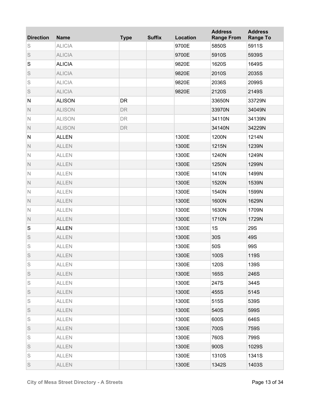| <b>Direction</b> | <b>Name</b>   | <b>Type</b> | <b>Suffix</b> | <b>Location</b> | <b>Address</b><br><b>Range From</b> | <b>Address</b><br><b>Range To</b> |
|------------------|---------------|-------------|---------------|-----------------|-------------------------------------|-----------------------------------|
| S                | <b>ALICIA</b> |             |               | 9700E           | 5850S                               | 5911S                             |
| S                | <b>ALICIA</b> |             |               | 9700E           | 5910S                               | 5939S                             |
| S                | <b>ALICIA</b> |             |               | 9820E           | 1620S                               | 1649S                             |
| S                | <b>ALICIA</b> |             |               | 9820E           | 2010S                               | 2035S                             |
| S                | <b>ALICIA</b> |             |               | 9820E           | 2036S                               | 2099S                             |
| S                | <b>ALICIA</b> |             |               | 9820E           | 2120S                               | 2149S                             |
| ${\sf N}$        | <b>ALISON</b> | <b>DR</b>   |               |                 | 33650N                              | 33729N                            |
| $\mathbb N$      | <b>ALISON</b> | DR          |               |                 | 33970N                              | 34049N                            |
| $\mathbb N$      | <b>ALISON</b> | DR          |               |                 | 34110N                              | 34139N                            |
| $\mathbb N$      | <b>ALISON</b> | DR          |               |                 | 34140N                              | 34229N                            |
| ${\sf N}$        | <b>ALLEN</b>  |             |               | 1300E           | 1200N                               | 1214N                             |
| $\mathbb N$      | <b>ALLEN</b>  |             |               | 1300E           | 1215N                               | 1239N                             |
| $\mathbb N$      | <b>ALLEN</b>  |             |               | 1300E           | 1240N                               | 1249N                             |
| $\mathbb N$      | <b>ALLEN</b>  |             |               | 1300E           | 1250N                               | 1299N                             |
| $\mathbb N$      | <b>ALLEN</b>  |             |               | 1300E           | 1410N                               | 1499N                             |
| $\mathbb N$      | <b>ALLEN</b>  |             |               | 1300E           | 1520N                               | 1539N                             |
| $\mathbb N$      | <b>ALLEN</b>  |             |               | 1300E           | 1540N                               | 1599N                             |
| $\mathbb N$      | <b>ALLEN</b>  |             |               | 1300E           | 1600N                               | 1629N                             |
| $\mathbb N$      | <b>ALLEN</b>  |             |               | 1300E           | 1630N                               | 1709N                             |
| $\mathbb N$      | <b>ALLEN</b>  |             |               | 1300E           | 1710N                               | 1729N                             |
| S                | <b>ALLEN</b>  |             |               | 1300E           | 1S                                  | <b>29S</b>                        |
| S                | <b>ALLEN</b>  |             |               | 1300E           | 30S                                 | 49S                               |
| S                | <b>ALLEN</b>  |             |               | 1300E           | 50S                                 | 99S                               |
| S                | <b>ALLEN</b>  |             |               | 1300E           | 100S                                | 119S                              |
| S                | <b>ALLEN</b>  |             |               | 1300E           | 120S                                | 139S                              |
| S                | <b>ALLEN</b>  |             |               | 1300E           | 165S                                | 246S                              |
| S                | <b>ALLEN</b>  |             |               | 1300E           | 247S                                | 344S                              |
| S                | <b>ALLEN</b>  |             |               | 1300E           | 455S                                | 514S                              |
| S                | <b>ALLEN</b>  |             |               | 1300E           | 515S                                | 539S                              |
| S                | <b>ALLEN</b>  |             |               | 1300E           | 540S                                | 599S                              |
| S                | <b>ALLEN</b>  |             |               | 1300E           | 600S                                | 646S                              |
| S                | <b>ALLEN</b>  |             |               | 1300E           | 700S                                | 759S                              |
| S                | <b>ALLEN</b>  |             |               | 1300E           | 760S                                | 799S                              |
| S                | <b>ALLEN</b>  |             |               | 1300E           | 900S                                | 1029S                             |
| S                | <b>ALLEN</b>  |             |               | 1300E           | 1310S                               | 1341S                             |
| S                | <b>ALLEN</b>  |             |               | 1300E           | 1342S                               | 1403S                             |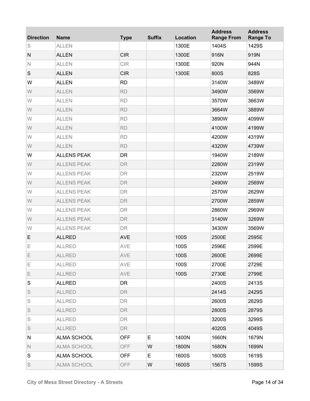| <b>Direction</b> | <b>Name</b>        | <b>Type</b> | <b>Suffix</b> | <b>Location</b> | <b>Address</b><br><b>Range From</b> | <b>Address</b><br><b>Range To</b> |
|------------------|--------------------|-------------|---------------|-----------------|-------------------------------------|-----------------------------------|
| S                | <b>ALLEN</b>       |             |               | 1300E           | 1404S                               | 1429S                             |
| N                | <b>ALLEN</b>       | <b>CIR</b>  |               | 1300E           | 916N                                | 919N                              |
| $\mathbb N$      | <b>ALLEN</b>       | <b>CIR</b>  |               | 1300E           | 920N                                | 944N                              |
| $\mathsf S$      | <b>ALLEN</b>       | <b>CIR</b>  |               | 1300E           | 800S                                | 828S                              |
| W                | <b>ALLEN</b>       | <b>RD</b>   |               |                 | 3140W                               | 3489W                             |
| W                | <b>ALLEN</b>       | <b>RD</b>   |               |                 | 3490W                               | 3569W                             |
| W                | <b>ALLEN</b>       | <b>RD</b>   |               |                 | 3570W                               | 3663W                             |
| W                | <b>ALLEN</b>       | <b>RD</b>   |               |                 | 3664W                               | 3889W                             |
| W                | <b>ALLEN</b>       | <b>RD</b>   |               |                 | 3890W                               | 4099W                             |
| W                | <b>ALLEN</b>       | <b>RD</b>   |               |                 | 4100W                               | 4199W                             |
| W                | <b>ALLEN</b>       | <b>RD</b>   |               |                 | 4200W                               | 4319W                             |
| W                | <b>ALLEN</b>       | <b>RD</b>   |               |                 | 4320W                               | 4739W                             |
| W                | <b>ALLENS PEAK</b> | <b>DR</b>   |               |                 | 1940W                               | 2189W                             |
| W                | <b>ALLENS PEAK</b> | <b>DR</b>   |               |                 | 2280W                               | 2319W                             |
| W                | <b>ALLENS PEAK</b> | <b>DR</b>   |               |                 | 2320W                               | 2519W                             |
| W                | <b>ALLENS PEAK</b> | <b>DR</b>   |               |                 | 2490W                               | 2569W                             |
| W                | <b>ALLENS PEAK</b> | <b>DR</b>   |               |                 | 2570W                               | 2629W                             |
| W                | <b>ALLENS PEAK</b> | <b>DR</b>   |               |                 | 2700W                               | 2859W                             |
| W                | <b>ALLENS PEAK</b> | <b>DR</b>   |               |                 | 2860W                               | 2969W                             |
| W                | <b>ALLENS PEAK</b> | <b>DR</b>   |               |                 | 3140W                               | 3269W                             |
| W                | <b>ALLENS PEAK</b> | <b>DR</b>   |               |                 | 3430W                               | 3569W                             |
| E                | <b>ALLRED</b>      | <b>AVE</b>  |               | 100S            | 2500E                               | 2595E                             |
| E                | <b>ALLRED</b>      | AVE         |               | 100S            | 2596E                               | 2599E                             |
| Ε                | <b>ALLRED</b>      | AVE         |               | 100S            | 2600E                               | 2699E                             |
| Е                | <b>ALLRED</b>      | AVE         |               | 100S            | 2700E                               | 2729E                             |
| E                | <b>ALLRED</b>      | AVE         |               | 100S            | 2730E                               | 2799E                             |
| S                | <b>ALLRED</b>      | DR.         |               |                 | 2400S                               | 2413S                             |
| S                | <b>ALLRED</b>      | <b>DR</b>   |               |                 | 2414S                               | 2429S                             |
| S                | <b>ALLRED</b>      | <b>DR</b>   |               |                 | 2600S                               | 2629S                             |
| S                | <b>ALLRED</b>      | <b>DR</b>   |               |                 | 2800S                               | 2879S                             |
| S                | <b>ALLRED</b>      | <b>DR</b>   |               |                 | 3200S                               | 3299S                             |
| S                | <b>ALLRED</b>      | <b>DR</b>   |               |                 | 4020S                               | 4049S                             |
| N                | ALMA SCHOOL        | <b>OFF</b>  | E.            | 1400N           | 1660N                               | 1679N                             |
| $\mathbb N$      | ALMA SCHOOL        | <b>OFF</b>  | W             | 1800N           | 1680N                               | 1699N                             |
| S                | ALMA SCHOOL        | <b>OFF</b>  | Е             | 1600S           | 1600S                               | 1619S                             |
| S                | ALMA SCHOOL        | <b>OFF</b>  | W             | 1600S           | 1567S                               | 1599S                             |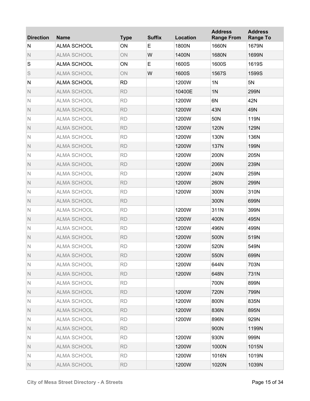| <b>Direction</b> | <b>Name</b>        | <b>Type</b> | <b>Suffix</b> | Location | <b>Address</b><br><b>Range From</b> | <b>Address</b><br><b>Range To</b> |
|------------------|--------------------|-------------|---------------|----------|-------------------------------------|-----------------------------------|
| N                | <b>ALMA SCHOOL</b> | ON          | E             | 1800N    | 1660N                               | 1679N                             |
| $\mathbb N$      | <b>ALMA SCHOOL</b> | ON          | W             | 1400N    | 1680N                               | 1699N                             |
| S                | <b>ALMA SCHOOL</b> | ON          | E             | 1600S    | 1600S                               | 1619S                             |
| S                | <b>ALMA SCHOOL</b> | ON          | W             | 1600S    | 1567S                               | 1599S                             |
| N                | <b>ALMA SCHOOL</b> | <b>RD</b>   |               | 1200W    | 1 <sub>N</sub>                      | 5N                                |
| $\mathbb N$      | <b>ALMA SCHOOL</b> | <b>RD</b>   |               | 10400E   | 1 <sub>N</sub>                      | 299N                              |
| $\mathsf{N}$     | <b>ALMA SCHOOL</b> | <b>RD</b>   |               | 1200W    | 6N                                  | 42N                               |
| $\mathbb N$      | <b>ALMA SCHOOL</b> | <b>RD</b>   |               | 1200W    | 43N                                 | 49N                               |
| $\mathsf{N}$     | <b>ALMA SCHOOL</b> | <b>RD</b>   |               | 1200W    | 50N                                 | 119N                              |
| $\mathbb N$      | <b>ALMA SCHOOL</b> | <b>RD</b>   |               | 1200W    | <b>120N</b>                         | 129N                              |
| $\mathsf{N}$     | <b>ALMA SCHOOL</b> | <b>RD</b>   |               | 1200W    | 130N                                | 136N                              |
| $\mathbb N$      | <b>ALMA SCHOOL</b> | <b>RD</b>   |               | 1200W    | <b>137N</b>                         | 199N                              |
| $\mathsf{N}$     | <b>ALMA SCHOOL</b> | <b>RD</b>   |               | 1200W    | 200N                                | 205N                              |
| $\mathbb N$      | <b>ALMA SCHOOL</b> | <b>RD</b>   |               | 1200W    | 206N                                | 239N                              |
| $\mathsf{N}$     | <b>ALMA SCHOOL</b> | <b>RD</b>   |               | 1200W    | 240N                                | 259N                              |
| $\mathbb N$      | <b>ALMA SCHOOL</b> | <b>RD</b>   |               | 1200W    | 260N                                | 299N                              |
| $\mathsf{N}$     | <b>ALMA SCHOOL</b> | <b>RD</b>   |               | 1200W    | 300N                                | 310N                              |
| $\mathbb N$      | <b>ALMA SCHOOL</b> | <b>RD</b>   |               |          | 300N                                | 699N                              |
| $\mathsf{N}$     | <b>ALMA SCHOOL</b> | <b>RD</b>   |               | 1200W    | 311N                                | 399N                              |
| $\mathbb N$      | <b>ALMA SCHOOL</b> | <b>RD</b>   |               | 1200W    | 400N                                | 495N                              |
| $\mathbb N$      | <b>ALMA SCHOOL</b> | <b>RD</b>   |               | 1200W    | 496N                                | 499N                              |
| $\mathbb N$      | <b>ALMA SCHOOL</b> | <b>RD</b>   |               | 1200W    | 500N                                | 519N                              |
| $\mathbb N$      | <b>ALMA SCHOOL</b> | <b>RD</b>   |               | 1200W    | 520N                                | 549N                              |
| Ν                | <b>ALMA SCHOOL</b> | <b>RD</b>   |               | 1200W    | 550N                                | 699N                              |
| N                | <b>ALMA SCHOOL</b> | <b>RD</b>   |               | 1200W    | 644N                                | 703N                              |
| $\mathbb N$      | <b>ALMA SCHOOL</b> | <b>RD</b>   |               | 1200W    | 648N                                | 731N                              |
| N                | <b>ALMA SCHOOL</b> | <b>RD</b>   |               |          | 700N                                | 899N                              |
| N.               | <b>ALMA SCHOOL</b> | <b>RD</b>   |               | 1200W    | 720N                                | 799N                              |
| N                | <b>ALMA SCHOOL</b> | <b>RD</b>   |               | 1200W    | 800N                                | 835N                              |
| N                | <b>ALMA SCHOOL</b> | <b>RD</b>   |               | 1200W    | 836N                                | 895N                              |
| Ν                | <b>ALMA SCHOOL</b> | <b>RD</b>   |               | 1200W    | 896N                                | 929N                              |
| N                | <b>ALMA SCHOOL</b> | <b>RD</b>   |               |          | 900N                                | 1199N                             |
| Ν                | <b>ALMA SCHOOL</b> | <b>RD</b>   |               | 1200W    | 930N                                | 999N                              |
| N                | <b>ALMA SCHOOL</b> | <b>RD</b>   |               | 1200W    | 1000N                               | 1015N                             |
| Ν                | <b>ALMA SCHOOL</b> | <b>RD</b>   |               | 1200W    | 1016N                               | 1019N                             |
| $\mathbb N$      | <b>ALMA SCHOOL</b> | <b>RD</b>   |               | 1200W    | 1020N                               | 1039N                             |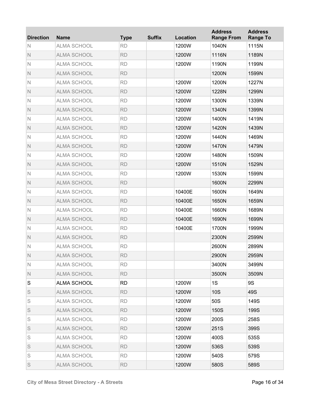| <b>Direction</b> | <b>Name</b>        | <b>Type</b> | <b>Suffix</b> | <b>Location</b> | <b>Address</b><br><b>Range From</b> | <b>Address</b><br><b>Range To</b> |
|------------------|--------------------|-------------|---------------|-----------------|-------------------------------------|-----------------------------------|
| N                | <b>ALMA SCHOOL</b> | <b>RD</b>   |               | 1200W           | 1040N                               | 1115N                             |
| $\mathbb N$      | <b>ALMA SCHOOL</b> | <b>RD</b>   |               | 1200W           | 1116N                               | 1189N                             |
| $\mathsf{N}$     | <b>ALMA SCHOOL</b> | <b>RD</b>   |               | 1200W           | 1190N                               | 1199N                             |
| $\mathbb N$      | <b>ALMA SCHOOL</b> | <b>RD</b>   |               |                 | 1200N                               | 1599N                             |
| $\mathsf{N}$     | <b>ALMA SCHOOL</b> | <b>RD</b>   |               | 1200W           | 1200N                               | 1227N                             |
| $\mathbb N$      | <b>ALMA SCHOOL</b> | <b>RD</b>   |               | 1200W           | 1228N                               | 1299N                             |
| $\mathsf{N}$     | <b>ALMA SCHOOL</b> | <b>RD</b>   |               | 1200W           | 1300N                               | 1339N                             |
| $\mathbb N$      | <b>ALMA SCHOOL</b> | <b>RD</b>   |               | 1200W           | 1340N                               | 1399N                             |
| $\mathsf{N}$     | <b>ALMA SCHOOL</b> | <b>RD</b>   |               | 1200W           | 1400N                               | 1419N                             |
| $\mathbb N$      | <b>ALMA SCHOOL</b> | <b>RD</b>   |               | 1200W           | 1420N                               | 1439N                             |
| $\mathsf{N}$     | <b>ALMA SCHOOL</b> | <b>RD</b>   |               | 1200W           | 1440N                               | 1469N                             |
| $\mathbb N$      | <b>ALMA SCHOOL</b> | <b>RD</b>   |               | 1200W           | 1470N                               | 1479N                             |
| $\mathsf{N}$     | <b>ALMA SCHOOL</b> | <b>RD</b>   |               | 1200W           | 1480N                               | 1509N                             |
| $\mathbb N$      | <b>ALMA SCHOOL</b> | <b>RD</b>   |               | 1200W           | 1510N                               | 1529N                             |
| $\mathsf{N}$     | <b>ALMA SCHOOL</b> | <b>RD</b>   |               | 1200W           | 1530N                               | 1599N                             |
| $\mathbb N$      | <b>ALMA SCHOOL</b> | <b>RD</b>   |               |                 | 1600N                               | 2299N                             |
| $\mathbb N$      | <b>ALMA SCHOOL</b> | <b>RD</b>   |               | 10400E          | 1600N                               | 1649N                             |
| $\mathbb N$      | <b>ALMA SCHOOL</b> | <b>RD</b>   |               | 10400E          | 1650N                               | 1659N                             |
| $\mathbb N$      | <b>ALMA SCHOOL</b> | <b>RD</b>   |               | 10400E          | 1660N                               | 1689N                             |
| $\mathbb N$      | <b>ALMA SCHOOL</b> | <b>RD</b>   |               | 10400E          | 1690N                               | 1699N                             |
| $\mathbb N$      | <b>ALMA SCHOOL</b> | <b>RD</b>   |               | 10400E          | 1700N                               | 1999N                             |
| $\mathsf{N}$     | <b>ALMA SCHOOL</b> | <b>RD</b>   |               |                 | 2300N                               | 2599N                             |
| $\mathbb N$      | <b>ALMA SCHOOL</b> | <b>RD</b>   |               |                 | 2600N                               | 2899N                             |
| $\mathbb N$      | <b>ALMA SCHOOL</b> | <b>RD</b>   |               |                 | 2900N                               | 2959N                             |
| N                | ALMA SCHOOL        | <b>RD</b>   |               |                 | 3400N                               | 3499N                             |
| $\mathbb N$      | <b>ALMA SCHOOL</b> | <b>RD</b>   |               |                 | 3500N                               | 3509N                             |
| S                | <b>ALMA SCHOOL</b> | <b>RD</b>   |               | 1200W           | 1S                                  | 9S                                |
| S                | <b>ALMA SCHOOL</b> | <b>RD</b>   |               | 1200W           | <b>10S</b>                          | 49S                               |
| S                | <b>ALMA SCHOOL</b> | <b>RD</b>   |               | 1200W           | 50S                                 | 149S                              |
| S                | <b>ALMA SCHOOL</b> | <b>RD</b>   |               | 1200W           | 150S                                | 199S                              |
| S                | <b>ALMA SCHOOL</b> | <b>RD</b>   |               | 1200W           | 200S                                | 258S                              |
| S                | <b>ALMA SCHOOL</b> | <b>RD</b>   |               | 1200W           | 251S                                | 399S                              |
| S                | <b>ALMA SCHOOL</b> | <b>RD</b>   |               | 1200W           | 400S                                | 535S                              |
| S                | <b>ALMA SCHOOL</b> | <b>RD</b>   |               | 1200W           | 536S                                | 539S                              |
| S                | <b>ALMA SCHOOL</b> | <b>RD</b>   |               | 1200W           | 540S                                | 579S                              |
| S                | <b>ALMA SCHOOL</b> | <b>RD</b>   |               | 1200W           | 580S                                | 589S                              |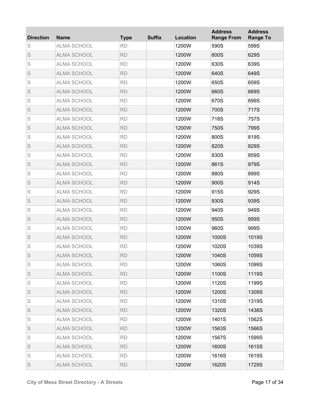| <b>Direction</b> | <b>Name</b>        | <b>Type</b> | <b>Suffix</b> | Location | <b>Address</b><br><b>Range From</b> | <b>Address</b><br><b>Range To</b> |
|------------------|--------------------|-------------|---------------|----------|-------------------------------------|-----------------------------------|
| S                | <b>ALMA SCHOOL</b> | <b>RD</b>   |               | 1200W    | 590S                                | 599S                              |
| S                | <b>ALMA SCHOOL</b> | <b>RD</b>   |               | 1200W    | 600S                                | 629S                              |
| S                | <b>ALMA SCHOOL</b> | <b>RD</b>   |               | 1200W    | 630S                                | 639S                              |
| S                | <b>ALMA SCHOOL</b> | <b>RD</b>   |               | 1200W    | 640S                                | 649S                              |
| S                | <b>ALMA SCHOOL</b> | <b>RD</b>   |               | 1200W    | 650S                                | 659S                              |
| S                | <b>ALMA SCHOOL</b> | <b>RD</b>   |               | 1200W    | 660S                                | 669S                              |
| S                | <b>ALMA SCHOOL</b> | <b>RD</b>   |               | 1200W    | 670S                                | 699S                              |
| S                | <b>ALMA SCHOOL</b> | <b>RD</b>   |               | 1200W    | 700S                                | 717S                              |
| S                | <b>ALMA SCHOOL</b> | <b>RD</b>   |               | 1200W    | 718S                                | 757S                              |
| S                | <b>ALMA SCHOOL</b> | <b>RD</b>   |               | 1200W    | 750S                                | 799S                              |
| S                | <b>ALMA SCHOOL</b> | <b>RD</b>   |               | 1200W    | 800S                                | 819S                              |
| S                | <b>ALMA SCHOOL</b> | <b>RD</b>   |               | 1200W    | 820S                                | 829S                              |
| S                | <b>ALMA SCHOOL</b> | <b>RD</b>   |               | 1200W    | 830S                                | 859S                              |
| S                | <b>ALMA SCHOOL</b> | <b>RD</b>   |               | 1200W    | 861S                                | 879S                              |
| S                | <b>ALMA SCHOOL</b> | <b>RD</b>   |               | 1200W    | 880S                                | 899S                              |
| S                | <b>ALMA SCHOOL</b> | <b>RD</b>   |               | 1200W    | 900S                                | 914S                              |
| S                | <b>ALMA SCHOOL</b> | <b>RD</b>   |               | 1200W    | 915S                                | 929S                              |
| S                | <b>ALMA SCHOOL</b> | <b>RD</b>   |               | 1200W    | 930S                                | 939S                              |
| S                | <b>ALMA SCHOOL</b> | <b>RD</b>   |               | 1200W    | 940S                                | 949S                              |
| S                | <b>ALMA SCHOOL</b> | <b>RD</b>   |               | 1200W    | 950S                                | 959S                              |
| S                | ALMA SCHOOL        | <b>RD</b>   |               | 1200W    | 960S                                | 999S                              |
| S                | <b>ALMA SCHOOL</b> | <b>RD</b>   |               | 1200W    | 1000S                               | 1019S                             |
| S                | <b>ALMA SCHOOL</b> | <b>RD</b>   |               | 1200W    | 1020S                               | 1039S                             |
| S                | <b>ALMA SCHOOL</b> | <b>RD</b>   |               | 1200W    | 1040S                               | 1059S                             |
| S                | <b>ALMA SCHOOL</b> | <b>RD</b>   |               | 1200W    | 1060S                               | 1099S                             |
| S                | ALMA SCHOOL        | <b>RD</b>   |               | 1200W    | 1100S                               | 1119S                             |
| S                | <b>ALMA SCHOOL</b> | <b>RD</b>   |               | 1200W    | 1120S                               | 1199S                             |
| S                | ALMA SCHOOL        | <b>RD</b>   |               | 1200W    | 1200S                               | 1309S                             |
| S                | <b>ALMA SCHOOL</b> | <b>RD</b>   |               | 1200W    | 1310S                               | 1319S                             |
| S                | ALMA SCHOOL        | <b>RD</b>   |               | 1200W    | 1320S                               | 1438S                             |
| S                | <b>ALMA SCHOOL</b> | <b>RD</b>   |               | 1200W    | 1401S                               | 1562S                             |
| S                | ALMA SCHOOL        | <b>RD</b>   |               | 1200W    | 1563S                               | 1566S                             |
| S                | <b>ALMA SCHOOL</b> | <b>RD</b>   |               | 1200W    | 1567S                               | 1599S                             |
| S                | ALMA SCHOOL        | <b>RD</b>   |               | 1200W    | 1600S                               | 1615S                             |
| S                | <b>ALMA SCHOOL</b> | <b>RD</b>   |               | 1200W    | 1616S                               | 1619S                             |
| S                | <b>ALMA SCHOOL</b> | <b>RD</b>   |               | 1200W    | 1620S                               | 1729S                             |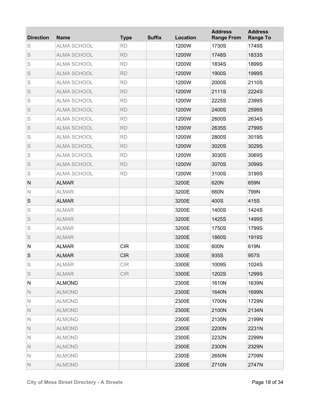| <b>Direction</b> | <b>Name</b>        | <b>Type</b> | <b>Suffix</b> | Location | <b>Address</b><br><b>Range From</b> | <b>Address</b><br><b>Range To</b> |
|------------------|--------------------|-------------|---------------|----------|-------------------------------------|-----------------------------------|
| S                | <b>ALMA SCHOOL</b> | <b>RD</b>   |               | 1200W    | 1730S                               | 1749S                             |
| S                | <b>ALMA SCHOOL</b> | <b>RD</b>   |               | 1200W    | 1748S                               | 1833S                             |
| S                | <b>ALMA SCHOOL</b> | <b>RD</b>   |               | 1200W    | 1834S                               | 1899S                             |
| S                | <b>ALMA SCHOOL</b> | <b>RD</b>   |               | 1200W    | 1900S                               | 1999S                             |
| S                | <b>ALMA SCHOOL</b> | <b>RD</b>   |               | 1200W    | 2000S                               | 2110S                             |
| S                | <b>ALMA SCHOOL</b> | <b>RD</b>   |               | 1200W    | 2111S                               | 2224S                             |
| S                | <b>ALMA SCHOOL</b> | <b>RD</b>   |               | 1200W    | 2225S                               | 2399S                             |
| S                | <b>ALMA SCHOOL</b> | <b>RD</b>   |               | 1200W    | 2400S                               | 2599S                             |
| S                | <b>ALMA SCHOOL</b> | <b>RD</b>   |               | 1200W    | 2600S                               | 2634S                             |
| S                | <b>ALMA SCHOOL</b> | <b>RD</b>   |               | 1200W    | 2635S                               | 2799S                             |
| S                | <b>ALMA SCHOOL</b> | <b>RD</b>   |               | 1200W    | 2800S                               | 3019S                             |
| S                | <b>ALMA SCHOOL</b> | <b>RD</b>   |               | 1200W    | 3020S                               | 3029S                             |
| S                | <b>ALMA SCHOOL</b> | <b>RD</b>   |               | 1200W    | 3030S                               | 3069S                             |
| S                | <b>ALMA SCHOOL</b> | <b>RD</b>   |               | 1200W    | 3070S                               | 3099S                             |
| S                | <b>ALMA SCHOOL</b> | <b>RD</b>   |               | 1200W    | 3100S                               | 3199S                             |
| ${\sf N}$        | <b>ALMAR</b>       |             |               | 3200E    | 620N                                | 659N                              |
| $\mathbb N$      | <b>ALMAR</b>       |             |               | 3200E    | 660N                                | 799N                              |
| S                | <b>ALMAR</b>       |             |               | 3200E    | 400S                                | 415S                              |
| S                | <b>ALMAR</b>       |             |               | 3200E    | 1400S                               | 1424S                             |
| S                | <b>ALMAR</b>       |             |               | 3200E    | 1425S                               | 1499S                             |
| S                | <b>ALMAR</b>       |             |               | 3200E    | 1750S                               | 1799S                             |
| S                | <b>ALMAR</b>       |             |               | 3200E    | 1860S                               | 1919S                             |
| ${\sf N}$        | <b>ALMAR</b>       | <b>CIR</b>  |               | 3300E    | 600N                                | 619N                              |
| $\mathbb S$      | <b>ALMAR</b>       | <b>CIR</b>  |               | 3300E    | 935S                                | 957S                              |
| S                | <b>ALMAR</b>       | <b>CIR</b>  |               | 3300E    | 1009S                               | 1024S                             |
| S                | <b>ALMAR</b>       | <b>CIR</b>  |               | 3300E    | 1202S                               | 1299S                             |
| N                | <b>ALMOND</b>      |             |               | 2300E    | 1610N                               | 1639N                             |
| N                | <b>ALMOND</b>      |             |               | 2300E    | 1640N                               | 1699N                             |
| N                | <b>ALMOND</b>      |             |               | 2300E    | 1700N                               | 1729N                             |
| N                | <b>ALMOND</b>      |             |               | 2300E    | 2100N                               | 2134N                             |
| N                | <b>ALMOND</b>      |             |               | 2300E    | 2135N                               | 2199N                             |
| N                | <b>ALMOND</b>      |             |               | 2300E    | 2200N                               | 2231N                             |
| N                | <b>ALMOND</b>      |             |               | 2300E    | 2232N                               | 2299N                             |
| N                | <b>ALMOND</b>      |             |               | 2300E    | 2300N                               | 2329N                             |
| $\mathbb N$      | <b>ALMOND</b>      |             |               | 2300E    | 2650N                               | 2709N                             |
| $\mathbb N$      | <b>ALMOND</b>      |             |               | 2300E    | 2710N                               | 2747N                             |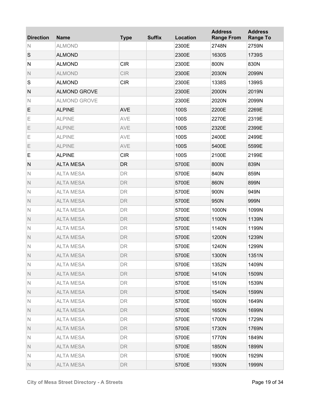| <b>Direction</b> | <b>Name</b>         | <b>Type</b> | <b>Suffix</b> | Location | <b>Address</b><br><b>Range From</b> | <b>Address</b><br><b>Range To</b> |
|------------------|---------------------|-------------|---------------|----------|-------------------------------------|-----------------------------------|
| N                | <b>ALMOND</b>       |             |               | 2300E    | 2748N                               | 2759N                             |
| S                | <b>ALMOND</b>       |             |               | 2300E    | 1630S                               | 1739S                             |
| N                | <b>ALMOND</b>       | <b>CIR</b>  |               | 2300E    | 800N                                | 830N                              |
| $\mathsf{N}$     | <b>ALMOND</b>       | <b>CIR</b>  |               | 2300E    | 2030N                               | 2099N                             |
| S                | <b>ALMOND</b>       | <b>CIR</b>  |               | 2300E    | 1338S                               | 1399S                             |
| ${\sf N}$        | <b>ALMOND GROVE</b> |             |               | 2300E    | 2000N                               | 2019N                             |
| $\mathsf{N}$     | <b>ALMOND GROVE</b> |             |               | 2300E    | 2020N                               | 2099N                             |
| E                | <b>ALPINE</b>       | <b>AVE</b>  |               | 100S     | 2200E                               | 2269E                             |
| Ε                | <b>ALPINE</b>       | AVE         |               | 100S     | 2270E                               | 2319E                             |
| Ε                | <b>ALPINE</b>       | AVE         |               | 100S     | 2320E                               | 2399E                             |
| Ε                | <b>ALPINE</b>       | AVE         |               | 100S     | 2400E                               | 2499E                             |
| Ε                | <b>ALPINE</b>       | AVE         |               | 100S     | 5400E                               | 5599E                             |
| E                | <b>ALPINE</b>       | <b>CIR</b>  |               | 100S     | 2100E                               | 2199E                             |
| N                | <b>ALTA MESA</b>    | <b>DR</b>   |               | 5700E    | 800N                                | 839N                              |
| $\mathbb N$      | <b>ALTA MESA</b>    | <b>DR</b>   |               | 5700E    | 840N                                | 859N                              |
| $\mathsf{N}$     | <b>ALTA MESA</b>    | <b>DR</b>   |               | 5700E    | 860N                                | 899N                              |
| $\mathbb N$      | <b>ALTA MESA</b>    | DR          |               | 5700E    | 900N                                | 949N                              |
| $\mathsf{N}$     | <b>ALTA MESA</b>    | <b>DR</b>   |               | 5700E    | 950N                                | 999N                              |
| $\mathbb N$      | <b>ALTA MESA</b>    | DR          |               | 5700E    | 1000N                               | 1099N                             |
| $\mathsf{N}$     | <b>ALTA MESA</b>    | <b>DR</b>   |               | 5700E    | 1100N                               | 1139N                             |
| $\mathbb N$      | <b>ALTA MESA</b>    | DR          |               | 5700E    | 1140N                               | 1199N                             |
| $\mathsf{N}$     | <b>ALTA MESA</b>    | DR          |               | 5700E    | 1200N                               | 1239N                             |
| $\mathbb N$      | <b>ALTA MESA</b>    | <b>DR</b>   |               | 5700E    | 1240N                               | 1299N                             |
| $\mathsf{N}$     | <b>ALTA MESA</b>    | DR          |               | 5700E    | 1300N                               | 1351N                             |
| N                | <b>ALTA MESA</b>    | DR          |               | 5700E    | 1352N                               | 1409N                             |
| $\mathbb N$      | <b>ALTA MESA</b>    | <b>DR</b>   |               | 5700E    | 1410N                               | 1509N                             |
| N                | <b>ALTA MESA</b>    | <b>DR</b>   |               | 5700E    | 1510N                               | 1539N                             |
| N.               | <b>ALTA MESA</b>    | <b>DR</b>   |               | 5700E    | 1540N                               | 1599N                             |
| N                | <b>ALTA MESA</b>    | <b>DR</b>   |               | 5700E    | 1600N                               | 1649N                             |
| N.               | <b>ALTA MESA</b>    | <b>DR</b>   |               | 5700E    | 1650N                               | 1699N                             |
| N                | <b>ALTA MESA</b>    | <b>DR</b>   |               | 5700E    | 1700N                               | 1729N                             |
| N.               | <b>ALTA MESA</b>    | <b>DR</b>   |               | 5700E    | 1730N                               | 1769N                             |
| N                | <b>ALTA MESA</b>    | <b>DR</b>   |               | 5700E    | 1770N                               | 1849N                             |
| N.               | <b>ALTA MESA</b>    | <b>DR</b>   |               | 5700E    | 1850N                               | 1899N                             |
| N                | <b>ALTA MESA</b>    | <b>DR</b>   |               | 5700E    | 1900N                               | 1929N                             |
| $\mathbb N$      | <b>ALTA MESA</b>    | <b>DR</b>   |               | 5700E    | 1930N                               | 1999N                             |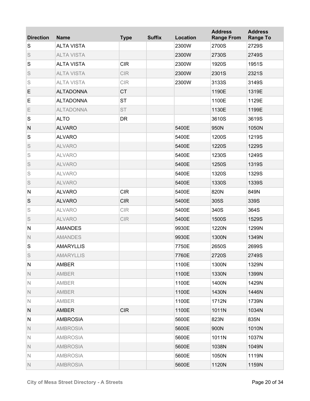| <b>Direction</b> | <b>Name</b>       | <b>Type</b> | <b>Suffix</b> | Location | <b>Address</b><br><b>Range From</b> | <b>Address</b><br><b>Range To</b> |
|------------------|-------------------|-------------|---------------|----------|-------------------------------------|-----------------------------------|
| S                | <b>ALTA VISTA</b> |             |               | 2300W    | 2700S                               | 2729S                             |
| S                | <b>ALTA VISTA</b> |             |               | 2300W    | 2730S                               | 2749S                             |
| S                | <b>ALTA VISTA</b> | <b>CIR</b>  |               | 2300W    | 1920S                               | 1951S                             |
| S                | <b>ALTA VISTA</b> | <b>CIR</b>  |               | 2300W    | 2301S                               | 2321S                             |
| S                | <b>ALTA VISTA</b> | <b>CIR</b>  |               | 2300W    | 3133S                               | 3149S                             |
| E                | <b>ALTADONNA</b>  | <b>CT</b>   |               |          | 1190E                               | 1319E                             |
| E                | <b>ALTADONNA</b>  | <b>ST</b>   |               |          | 1100E                               | 1129E                             |
| Ε                | <b>ALTADONNA</b>  | <b>ST</b>   |               |          | 1130E                               | 1199E                             |
| S                | <b>ALTO</b>       | DR          |               |          | 3610S                               | 3619S                             |
| ${\sf N}$        | <b>ALVARO</b>     |             |               | 5400E    | 950N                                | 1050N                             |
| S                | <b>ALVARO</b>     |             |               | 5400E    | 1200S                               | 1219S                             |
| S                | <b>ALVARO</b>     |             |               | 5400E    | 1220S                               | 1229S                             |
| S                | <b>ALVARO</b>     |             |               | 5400E    | 1230S                               | 1249S                             |
| S                | <b>ALVARO</b>     |             |               | 5400E    | 1250S                               | 1319S                             |
| S                | <b>ALVARO</b>     |             |               | 5400E    | 1320S                               | 1329S                             |
| S                | <b>ALVARO</b>     |             |               | 5400E    | 1330S                               | 1339S                             |
| ${\sf N}$        | <b>ALVARO</b>     | <b>CIR</b>  |               | 5400E    | 820N                                | 849N                              |
| S                | <b>ALVARO</b>     | <b>CIR</b>  |               | 5400E    | 305S                                | 339S                              |
| S                | <b>ALVARO</b>     | <b>CIR</b>  |               | 5400E    | 340S                                | 364S                              |
| S                | <b>ALVARO</b>     | <b>CIR</b>  |               | 5400E    | 1500S                               | 1529S                             |
| ${\sf N}$        | <b>AMANDES</b>    |             |               | 9930E    | 1220N                               | 1299N                             |
| $\mathsf{N}$     | <b>AMANDES</b>    |             |               | 9930E    | 1300N                               | 1349N                             |
| S                | <b>AMARYLLIS</b>  |             |               | 7750E    | 2650S                               | 2699S                             |
| S                | <b>AMARYLLIS</b>  |             |               | 7760E    | 2720S                               | 2749S                             |
| N                | <b>AMBER</b>      |             |               | 1100E    | 1300N                               | 1329N                             |
| N                | <b>AMBER</b>      |             |               | 1100E    | 1330N                               | 1399N                             |
| N                | <b>AMBER</b>      |             |               | 1100E    | 1400N                               | 1429N                             |
| N                | <b>AMBER</b>      |             |               | 1100E    | 1430N                               | 1446N                             |
| N                | <b>AMBER</b>      |             |               | 1100E    | 1712N                               | 1739N                             |
| N                | <b>AMBER</b>      | <b>CIR</b>  |               | 1100E    | 1011N                               | 1034N                             |
| N                | <b>AMBROSIA</b>   |             |               | 5600E    | 823N                                | 835N                              |
| N                | <b>AMBROSIA</b>   |             |               | 5600E    | 900N                                | 1010N                             |
| N                | <b>AMBROSIA</b>   |             |               | 5600E    | 1011N                               | 1037N                             |
| $\mathbb N$      | <b>AMBROSIA</b>   |             |               | 5600E    | 1038N                               | 1049N                             |
| $\mathbb N$      | <b>AMBROSIA</b>   |             |               | 5600E    | 1050N                               | 1119N                             |
| $\mathbb N$      | <b>AMBROSIA</b>   |             |               | 5600E    | 1120N                               | 1159N                             |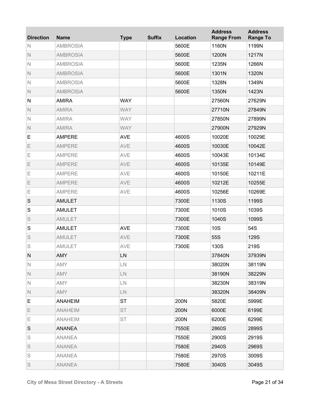| <b>Direction</b> | <b>Name</b>     | <b>Type</b> | <b>Suffix</b> | Location | <b>Address</b><br><b>Range From</b> | <b>Address</b><br><b>Range To</b> |
|------------------|-----------------|-------------|---------------|----------|-------------------------------------|-----------------------------------|
| N                | <b>AMBROSIA</b> |             |               | 5600E    | 1160N                               | 1199N                             |
| $\mathbb N$      | <b>AMBROSIA</b> |             |               | 5600E    | 1200N                               | 1217N                             |
| $\mathsf{N}$     | <b>AMBROSIA</b> |             |               | 5600E    | 1235N                               | 1266N                             |
| $\mathbb N$      | <b>AMBROSIA</b> |             |               | 5600E    | 1301N                               | 1320N                             |
| $\mathsf{N}$     | <b>AMBROSIA</b> |             |               | 5600E    | 1328N                               | 1349N                             |
| $\mathbb N$      | <b>AMBROSIA</b> |             |               | 5600E    | 1350N                               | 1423N                             |
| ${\sf N}$        | <b>AMIRA</b>    | <b>WAY</b>  |               |          | 27560N                              | 27629N                            |
| $\mathbb N$      | <b>AMIRA</b>    | <b>WAY</b>  |               |          | 27710N                              | 27849N                            |
| $\mathsf{N}$     | <b>AMIRA</b>    | <b>WAY</b>  |               |          | 27850N                              | 27899N                            |
| $\mathbb N$      | <b>AMIRA</b>    | <b>WAY</b>  |               |          | 27900N                              | 27929N                            |
| E                | <b>AMPERE</b>   | <b>AVE</b>  |               | 4600S    | 10020E                              | 10029E                            |
| Ε                | <b>AMPERE</b>   | AVE         |               | 4600S    | 10030E                              | 10042E                            |
| Ε                | <b>AMPERE</b>   | AVE         |               | 4600S    | 10043E                              | 10134E                            |
| Ε                | <b>AMPERE</b>   | AVE         |               | 4600S    | 10135E                              | 10149E                            |
| Ε                | <b>AMPERE</b>   | AVE         |               | 4600S    | 10150E                              | 10211E                            |
| Ε                | <b>AMPERE</b>   | AVE         |               | 4600S    | 10212E                              | 10255E                            |
| Ε                | <b>AMPERE</b>   | AVE         |               | 4600S    | 10256E                              | 10269E                            |
| S                | <b>AMULET</b>   |             |               | 7300E    | 1130S                               | 1199S                             |
| S                | <b>AMULET</b>   |             |               | 7300E    | 1010S                               | 1039S                             |
| S                | <b>AMULET</b>   |             |               | 7300E    | 1040S                               | 1099S                             |
| S                | <b>AMULET</b>   | <b>AVE</b>  |               | 7300E    | <b>10S</b>                          | 54S                               |
| S                | <b>AMULET</b>   | AVE         |               | 7300E    | 55S                                 | 129S                              |
| S                | <b>AMULET</b>   | AVE         |               | 7300E    | 130S                                | 219S                              |
| N                | AMY             | LN          |               |          | 37840N                              | 37939N                            |
| N                | <b>AMY</b>      | LN          |               |          | 38020N                              | 38119N                            |
| $\mathbb N$      | <b>AMY</b>      | ${\sf LN}$  |               |          | 38190N                              | 38229N                            |
| $\mathbb N$      | <b>AMY</b>      | LN          |               |          | 38230N                              | 38319N                            |
| N                | <b>AMY</b>      | LN          |               |          | 38320N                              | 38409N                            |
| Е                | <b>ANAHEIM</b>  | <b>ST</b>   |               | 200N     | 5820E                               | 5999E                             |
| E.               | <b>ANAHEIM</b>  | <b>ST</b>   |               | 200N     | 6000E                               | 6199E                             |
| Е                | <b>ANAHEIM</b>  | <b>ST</b>   |               | 200N     | 6200E                               | 6299E                             |
| S                | <b>ANANEA</b>   |             |               | 7550E    | 2860S                               | 2899S                             |
| S                | <b>ANANEA</b>   |             |               | 7550E    | 2900S                               | 2919S                             |
| S                | <b>ANANEA</b>   |             |               | 7580E    | 2940S                               | 2969S                             |
| S                | <b>ANANEA</b>   |             |               | 7580E    | 2970S                               | 3009S                             |
| S                | <b>ANANEA</b>   |             |               | 7580E    | 3040S                               | 3049S                             |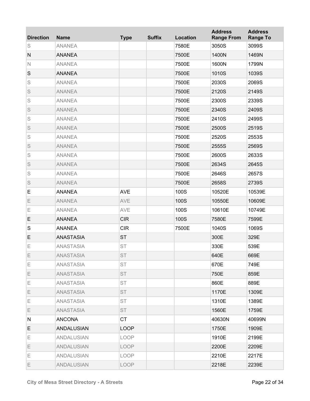| <b>Direction</b> | <b>Name</b>       | <b>Type</b> | <b>Suffix</b> | <b>Location</b> | <b>Address</b><br><b>Range From</b> | <b>Address</b><br><b>Range To</b> |
|------------------|-------------------|-------------|---------------|-----------------|-------------------------------------|-----------------------------------|
| S                | <b>ANANEA</b>     |             |               | 7580E           | 3050S                               | 3099S                             |
| ${\sf N}$        | <b>ANANEA</b>     |             |               | 7500E           | 1400N                               | 1469N                             |
| $\mathbb N$      | <b>ANANEA</b>     |             |               | 7500E           | 1600N                               | 1799N                             |
| $\mathsf S$      | <b>ANANEA</b>     |             |               | 7500E           | 1010S                               | 1039S                             |
| S                | <b>ANANEA</b>     |             |               | 7500E           | 2030S                               | 2069S                             |
| S                | <b>ANANEA</b>     |             |               | 7500E           | 2120S                               | 2149S                             |
| S                | <b>ANANEA</b>     |             |               | 7500E           | 2300S                               | 2339S                             |
| S                | <b>ANANEA</b>     |             |               | 7500E           | 2340S                               | 2409S                             |
| S                | <b>ANANEA</b>     |             |               | 7500E           | 2410S                               | 2499S                             |
| S                | <b>ANANEA</b>     |             |               | 7500E           | 2500S                               | 2519S                             |
| S                | <b>ANANEA</b>     |             |               | 7500E           | 2520S                               | 2553S                             |
| S                | <b>ANANEA</b>     |             |               | 7500E           | 2555S                               | 2569S                             |
| S                | <b>ANANEA</b>     |             |               | 7500E           | 2600S                               | 2633S                             |
| S                | <b>ANANEA</b>     |             |               | 7500E           | 2634S                               | 2645S                             |
| S                | <b>ANANEA</b>     |             |               | 7500E           | 2646S                               | 2657S                             |
| S                | <b>ANANEA</b>     |             |               | 7500E           | 2658S                               | 2739S                             |
| E                | <b>ANANEA</b>     | <b>AVE</b>  |               | 100S            | 10520E                              | 10539E                            |
| Ε                | <b>ANANEA</b>     | AVE         |               | 100S            | 10550E                              | 10609E                            |
| Ε                | <b>ANANEA</b>     | AVE         |               | 100S            | 10610E                              | 10749E                            |
| E                | <b>ANANEA</b>     | <b>CIR</b>  |               | 100S            | 7580E                               | 7599E                             |
| S                | <b>ANANEA</b>     | <b>CIR</b>  |               | 7500E           | 1040S                               | 1069S                             |
| E                | <b>ANASTASIA</b>  | <b>ST</b>   |               |                 | 300E                                | 329E                              |
| Ε                | <b>ANASTASIA</b>  | <b>ST</b>   |               |                 | 330E                                | 539E                              |
| Ε                | ANASTASIA         | ST          |               |                 | 640E                                | 669E                              |
| Е                | <b>ANASTASIA</b>  | <b>ST</b>   |               |                 | 670E                                | 749E                              |
| E.               | <b>ANASTASIA</b>  | <b>ST</b>   |               |                 | 750E                                | 859E                              |
| Е                | <b>ANASTASIA</b>  | <b>ST</b>   |               |                 | 860E                                | 889E                              |
| E.               | <b>ANASTASIA</b>  | <b>ST</b>   |               |                 | 1170E                               | 1309E                             |
| Е                | <b>ANASTASIA</b>  | <b>ST</b>   |               |                 | 1310E                               | 1389E                             |
| E.               | <b>ANASTASIA</b>  | <b>ST</b>   |               |                 | 1560E                               | 1759E                             |
| N                | <b>ANCONA</b>     | <b>CT</b>   |               |                 | 40630N                              | 40699N                            |
| E                | ANDALUSIAN        | <b>LOOP</b> |               |                 | 1750E                               | 1909E                             |
| Е                | <b>ANDALUSIAN</b> | LOOP        |               |                 | 1910E                               | 2199E                             |
| E.               | <b>ANDALUSIAN</b> | <b>LOOP</b> |               |                 | 2200E                               | 2209E                             |
| Е                | <b>ANDALUSIAN</b> | LOOP        |               |                 | 2210E                               | 2217E                             |
| E                | <b>ANDALUSIAN</b> | <b>LOOP</b> |               |                 | 2218E                               | 2239E                             |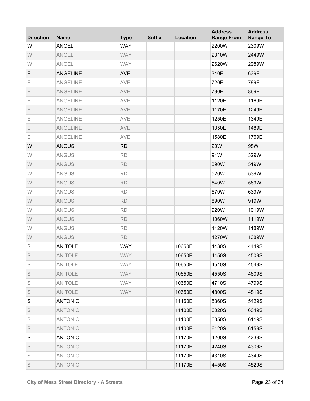| <b>Direction</b> | <b>Name</b>     | <b>Type</b> | <b>Suffix</b> | Location | <b>Address</b><br><b>Range From</b> | <b>Address</b><br><b>Range To</b> |
|------------------|-----------------|-------------|---------------|----------|-------------------------------------|-----------------------------------|
| W                | <b>ANGEL</b>    | <b>WAY</b>  |               |          | 2200W                               | 2309W                             |
| W                | <b>ANGEL</b>    | <b>WAY</b>  |               |          | 2310W                               | 2449W                             |
| W                | <b>ANGEL</b>    | <b>WAY</b>  |               |          | 2620W                               | 2989W                             |
| E                | <b>ANGELINE</b> | <b>AVE</b>  |               |          | 340E                                | 639E                              |
| Е                | <b>ANGELINE</b> | AVE         |               |          | 720E                                | 789E                              |
| Ε                | <b>ANGELINE</b> | AVE         |               |          | 790E                                | 869E                              |
| E                | <b>ANGELINE</b> | AVE         |               |          | 1120E                               | 1169E                             |
| Ε                | <b>ANGELINE</b> | AVE         |               |          | 1170E                               | 1249E                             |
| E                | <b>ANGELINE</b> | AVE         |               |          | 1250E                               | 1349E                             |
| Ε                | <b>ANGELINE</b> | AVE         |               |          | 1350E                               | 1489E                             |
| E                | <b>ANGELINE</b> | AVE         |               |          | 1580E                               | 1769E                             |
| W                | <b>ANGUS</b>    | <b>RD</b>   |               |          | <b>20W</b>                          | 98W                               |
| W                | <b>ANGUS</b>    | <b>RD</b>   |               |          | 91W                                 | 329W                              |
| W                | <b>ANGUS</b>    | <b>RD</b>   |               |          | 390W                                | 519W                              |
| W                | <b>ANGUS</b>    | <b>RD</b>   |               |          | 520W                                | 539W                              |
| W                | <b>ANGUS</b>    | <b>RD</b>   |               |          | 540W                                | 569W                              |
| W                | <b>ANGUS</b>    | <b>RD</b>   |               |          | 570W                                | 639W                              |
| W                | <b>ANGUS</b>    | <b>RD</b>   |               |          | 890W                                | 919W                              |
| W                | <b>ANGUS</b>    | <b>RD</b>   |               |          | 920W                                | 1019W                             |
| W                | <b>ANGUS</b>    | <b>RD</b>   |               |          | 1060W                               | 1119W                             |
| W                | <b>ANGUS</b>    | <b>RD</b>   |               |          | 1120W                               | 1189W                             |
| W                | <b>ANGUS</b>    | <b>RD</b>   |               |          | 1270W                               | 1389W                             |
| $\mathbf S$      | <b>ANITOLE</b>  | <b>WAY</b>  |               | 10650E   | 4430S                               | 4449S                             |
| S                | <b>ANITOLE</b>  | <b>WAY</b>  |               | 10650E   | 4450S                               | 4509S                             |
| S                | <b>ANITOLE</b>  | <b>WAY</b>  |               | 10650E   | 4510S                               | 4549S                             |
| S                | <b>ANITOLE</b>  | <b>WAY</b>  |               | 10650E   | 4550S                               | 4609S                             |
| S                | <b>ANITOLE</b>  | <b>WAY</b>  |               | 10650E   | 4710S                               | 4799S                             |
| S                | <b>ANITOLE</b>  | <b>WAY</b>  |               | 10650E   | 4800S                               | 4819S                             |
| S                | <b>ANTONIO</b>  |             |               | 11160E   | 5360S                               | 5429S                             |
| S                | <b>ANTONIO</b>  |             |               | 11100E   | 6020S                               | 6049S                             |
| S                | <b>ANTONIO</b>  |             |               | 11100E   | 6050S                               | 6119S                             |
| S                | <b>ANTONIO</b>  |             |               | 11100E   | 6120S                               | 6159S                             |
| S                | <b>ANTONIO</b>  |             |               | 11170E   | 4200S                               | 4239S                             |
| S                | <b>ANTONIO</b>  |             |               | 11170E   | 4240S                               | 4309S                             |
| S                | <b>ANTONIO</b>  |             |               | 11170E   | 4310S                               | 4349S                             |
| S                | <b>ANTONIO</b>  |             |               | 11170E   | 4450S                               | 4529S                             |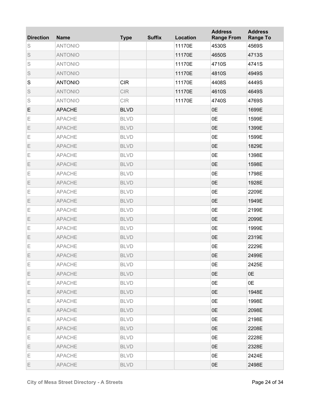| <b>Direction</b> | <b>Name</b>    | <b>Type</b> | <b>Suffix</b> | Location | <b>Address</b><br><b>Range From</b> | <b>Address</b><br><b>Range To</b> |
|------------------|----------------|-------------|---------------|----------|-------------------------------------|-----------------------------------|
| S                | <b>ANTONIO</b> |             |               | 11170E   | 4530S                               | 4569S                             |
| S                | <b>ANTONIO</b> |             |               | 11170E   | 4650S                               | 4713S                             |
| S                | <b>ANTONIO</b> |             |               | 11170E   | 4710S                               | 4741S                             |
| S                | <b>ANTONIO</b> |             |               | 11170E   | 4810S                               | 4949S                             |
| S                | <b>ANTONIO</b> | <b>CIR</b>  |               | 11170E   | 4408S                               | 4449S                             |
| S                | <b>ANTONIO</b> | <b>CIR</b>  |               | 11170E   | 4610S                               | 4649S                             |
| S                | <b>ANTONIO</b> | <b>CIR</b>  |               | 11170E   | 4740S                               | 4769S                             |
| E                | <b>APACHE</b>  | <b>BLVD</b> |               |          | 0E                                  | 1699E                             |
| Ε                | <b>APACHE</b>  | <b>BLVD</b> |               |          | 0E                                  | 1599E                             |
| Ε                | <b>APACHE</b>  | <b>BLVD</b> |               |          | 0E                                  | 1399E                             |
| Ε                | <b>APACHE</b>  | <b>BLVD</b> |               |          | 0E                                  | 1599E                             |
| Ε                | <b>APACHE</b>  | <b>BLVD</b> |               |          | 0E                                  | 1829E                             |
| Ε                | <b>APACHE</b>  | <b>BLVD</b> |               |          | 0E                                  | 1398E                             |
| Ε                | <b>APACHE</b>  | <b>BLVD</b> |               |          | 0E                                  | 1598E                             |
| Ε                | <b>APACHE</b>  | <b>BLVD</b> |               |          | 0E                                  | 1798E                             |
| Ε                | <b>APACHE</b>  | <b>BLVD</b> |               |          | 0E                                  | 1928E                             |
| Ε                | <b>APACHE</b>  | <b>BLVD</b> |               |          | 0E                                  | 2209E                             |
| Ε                | <b>APACHE</b>  | <b>BLVD</b> |               |          | 0E                                  | 1949E                             |
| Ε                | <b>APACHE</b>  | <b>BLVD</b> |               |          | 0E                                  | 2199E                             |
| Ε                | <b>APACHE</b>  | <b>BLVD</b> |               |          | 0E                                  | 2099E                             |
| Ε                | <b>APACHE</b>  | <b>BLVD</b> |               |          | 0E                                  | 1999E                             |
| Ε                | <b>APACHE</b>  | <b>BLVD</b> |               |          | 0E                                  | 2319E                             |
| Ε                | <b>APACHE</b>  | <b>BLVD</b> |               |          | 0E                                  | 2229E                             |
| Ε                | APACHE         | <b>BLVD</b> |               |          | 0E                                  | 2499E                             |
| Е                | <b>APACHE</b>  | <b>BLVD</b> |               |          | 0E                                  | 2425E                             |
| Е                | <b>APACHE</b>  | <b>BLVD</b> |               |          | 0E                                  | 0E                                |
| Ε                | <b>APACHE</b>  | <b>BLVD</b> |               |          | 0E                                  | 0E                                |
| Е                | <b>APACHE</b>  | <b>BLVD</b> |               |          | 0E                                  | 1948E                             |
| Ε                | <b>APACHE</b>  | <b>BLVD</b> |               |          | 0E                                  | 1998E                             |
| Е                | <b>APACHE</b>  | <b>BLVD</b> |               |          | 0E                                  | 2098E                             |
| Е                | <b>APACHE</b>  | <b>BLVD</b> |               |          | 0E                                  | 2198E                             |
| Ε                | <b>APACHE</b>  | <b>BLVD</b> |               |          | 0E                                  | 2208E                             |
| Е                | <b>APACHE</b>  | <b>BLVD</b> |               |          | 0E                                  | 2228E                             |
| Ε                | <b>APACHE</b>  | <b>BLVD</b> |               |          | 0E                                  | 2328E                             |
| Ε                | <b>APACHE</b>  | <b>BLVD</b> |               |          | 0E                                  | 2424E                             |
| Ε                | <b>APACHE</b>  | <b>BLVD</b> |               |          | 0E                                  | 2498E                             |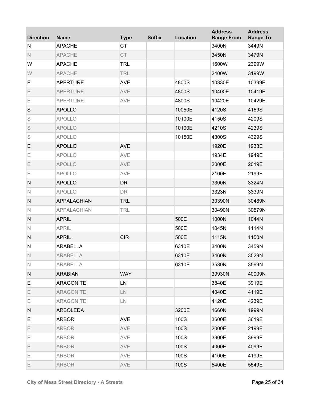| <b>Direction</b> | <b>Name</b>        | <b>Type</b> | <b>Suffix</b> | Location | <b>Address</b><br><b>Range From</b> | <b>Address</b><br><b>Range To</b> |
|------------------|--------------------|-------------|---------------|----------|-------------------------------------|-----------------------------------|
| N                | <b>APACHE</b>      | <b>CT</b>   |               |          | 3400N                               | 3449N                             |
| $\mathbb N$      | <b>APACHE</b>      | <b>CT</b>   |               |          | 3450N                               | 3479N                             |
| W                | <b>APACHE</b>      | <b>TRL</b>  |               |          | 1600W                               | 2399W                             |
| W                | <b>APACHE</b>      | <b>TRL</b>  |               |          | 2400W                               | 3199W                             |
| E                | <b>APERTURE</b>    | <b>AVE</b>  |               | 4800S    | 10330E                              | 10399E                            |
| E                | <b>APERTURE</b>    | AVE         |               | 4800S    | 10400E                              | 10419E                            |
| Е                | <b>APERTURE</b>    | AVE         |               | 4800S    | 10420E                              | 10429E                            |
| $\mathsf S$      | <b>APOLLO</b>      |             |               | 10050E   | 4120S                               | 4159S                             |
| S                | <b>APOLLO</b>      |             |               | 10100E   | 4150S                               | 4209S                             |
| S                | <b>APOLLO</b>      |             |               | 10100E   | 4210S                               | 4239S                             |
| S                | <b>APOLLO</b>      |             |               | 10150E   | 4300S                               | 4329S                             |
| E                | <b>APOLLO</b>      | <b>AVE</b>  |               |          | 1920E                               | 1933E                             |
| E                | <b>APOLLO</b>      | AVE         |               |          | 1934E                               | 1949E                             |
| E                | <b>APOLLO</b>      | AVE         |               |          | 2000E                               | 2019E                             |
| E                | <b>APOLLO</b>      | AVE         |               |          | 2100E                               | 2199E                             |
| $\mathsf{N}$     | <b>APOLLO</b>      | <b>DR</b>   |               |          | 3300N                               | 3324N                             |
| $\mathsf{N}$     | <b>APOLLO</b>      | DR          |               |          | 3323N                               | 3339N                             |
| ${\sf N}$        | <b>APPALACHIAN</b> | <b>TRL</b>  |               |          | 30390N                              | 30489N                            |
| $\mathsf{N}$     | <b>APPALACHIAN</b> | <b>TRL</b>  |               |          | 30490N                              | 30579N                            |
| $\mathsf{N}$     | <b>APRIL</b>       |             |               | 500E     | 1000N                               | 1044N                             |
| $\mathbb N$      | <b>APRIL</b>       |             |               | 500E     | 1045N                               | 1114N                             |
| ${\sf N}$        | <b>APRIL</b>       | <b>CIR</b>  |               | 500E     | 1115N                               | 1150N                             |
| ${\sf N}$        | <b>ARABELLA</b>    |             |               | 6310E    | 3400N                               | 3459N                             |
| N                | ARABELLA           |             |               | 6310E    | 3460N                               | 3529N                             |
| $\mathsf{N}$     | <b>ARABELLA</b>    |             |               | 6310E    | 3530N                               | 3569N                             |
| N                | <b>ARABIAN</b>     | <b>WAY</b>  |               |          | 39930N                              | 40009N                            |
| Е                | <b>ARAGONITE</b>   | LN          |               |          | 3840E                               | 3919E                             |
| E                | <b>ARAGONITE</b>   | ${\sf LN}$  |               |          | 4040E                               | 4119E                             |
| Е                | <b>ARAGONITE</b>   | LN.         |               |          | 4120E                               | 4239E                             |
| N                | <b>ARBOLEDA</b>    |             |               | 3200E    | 1660N                               | 1999N                             |
| Е                | <b>ARBOR</b>       | <b>AVE</b>  |               | 100S     | 3600E                               | 3619E                             |
| E                | <b>ARBOR</b>       | AVE         |               | 100S     | 2000E                               | 2199E                             |
| Е                | <b>ARBOR</b>       | AVE         |               | 100S     | 3900E                               | 3999E                             |
| E                | <b>ARBOR</b>       | AVE         |               | 100S     | 4000E                               | 4099E                             |
| Е                | <b>ARBOR</b>       | AVE         |               | 100S     | 4100E                               | 4199E                             |
| E                | <b>ARBOR</b>       | AVE         |               | 100S     | 5400E                               | 5549E                             |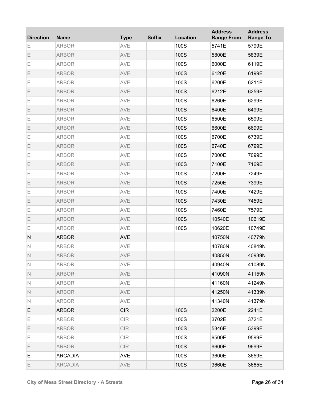| <b>Direction</b> | <b>Name</b>    | <b>Type</b> | <b>Suffix</b> | Location | <b>Address</b><br><b>Range From</b> | <b>Address</b><br><b>Range To</b> |
|------------------|----------------|-------------|---------------|----------|-------------------------------------|-----------------------------------|
| Ε                | <b>ARBOR</b>   | AVE         |               | 100S     | 5741E                               | 5799E                             |
| Ε                | <b>ARBOR</b>   | AVE         |               | 100S     | 5800E                               | 5839E                             |
| Ε                | <b>ARBOR</b>   | AVE         |               | 100S     | 6000E                               | 6119E                             |
| Ε                | <b>ARBOR</b>   | AVE         |               | 100S     | 6120E                               | 6199E                             |
| Ε                | <b>ARBOR</b>   | AVE         |               | 100S     | 6200E                               | 6211E                             |
| Ε                | <b>ARBOR</b>   | AVE         |               | 100S     | 6212E                               | 6259E                             |
| Ε                | <b>ARBOR</b>   | AVE         |               | 100S     | 6260E                               | 6299E                             |
| Ε                | <b>ARBOR</b>   | AVE         |               | 100S     | 6400E                               | 6499E                             |
| Ε                | <b>ARBOR</b>   | AVE         |               | 100S     | 6500E                               | 6599E                             |
| Ε                | <b>ARBOR</b>   | AVE         |               | 100S     | 6600E                               | 6699E                             |
| Ε                | <b>ARBOR</b>   | AVE         |               | 100S     | 6700E                               | 6739E                             |
| Ε                | <b>ARBOR</b>   | AVE         |               | 100S     | 6740E                               | 6799E                             |
| Ε                | <b>ARBOR</b>   | AVE         |               | 100S     | 7000E                               | 7099E                             |
| Ε                | <b>ARBOR</b>   | AVE         |               | 100S     | 7100E                               | 7169E                             |
| Ε                | <b>ARBOR</b>   | AVE         |               | 100S     | 7200E                               | 7249E                             |
| Ε                | <b>ARBOR</b>   | AVE         |               | 100S     | 7250E                               | 7399E                             |
| Ε                | <b>ARBOR</b>   | AVE         |               | 100S     | 7400E                               | 7429E                             |
| Ε                | <b>ARBOR</b>   | AVE         |               | 100S     | 7430E                               | 7459E                             |
| Ε                | <b>ARBOR</b>   | AVE         |               | 100S     | 7460E                               | 7579E                             |
| Ε                | <b>ARBOR</b>   | AVE         |               | 100S     | 10540E                              | 10619E                            |
| Ε                | <b>ARBOR</b>   | AVE         |               | 100S     | 10620E                              | 10749E                            |
| ${\sf N}$        | <b>ARBOR</b>   | <b>AVE</b>  |               |          | 40750N                              | 40779N                            |
| $\mathbb N$      | <b>ARBOR</b>   | AVE         |               |          | 40780N                              | 40849N                            |
| $\mathbb N$      | <b>ARBOR</b>   | AVE         |               |          | 40850N                              | 40939N                            |
| $\mathbb N$      | <b>ARBOR</b>   | AVE         |               |          | 40940N                              | 41089N                            |
| $\mathbb N$      | <b>ARBOR</b>   | AVE         |               |          | 41090N                              | 41159N                            |
| $\mathbb N$      | <b>ARBOR</b>   | AVE         |               |          | 41160N                              | 41249N                            |
| $\mathbb N$      | <b>ARBOR</b>   | AVE         |               |          | 41250N                              | 41339N                            |
| N                | <b>ARBOR</b>   | AVE         |               |          | 41340N                              | 41379N                            |
| E                | <b>ARBOR</b>   | <b>CIR</b>  |               | 100S     | 2200E                               | 2241E                             |
| Е                | <b>ARBOR</b>   | CIR         |               | 100S     | 3702E                               | 3721E                             |
| E.               | <b>ARBOR</b>   | <b>CIR</b>  |               | 100S     | 5346E                               | 5399E                             |
| Е                | <b>ARBOR</b>   | CIR         |               | 100S     | 9500E                               | 9599E                             |
| E.               | <b>ARBOR</b>   | <b>CIR</b>  |               | 100S     | 9600E                               | 9699E                             |
| Е                | <b>ARCADIA</b> | <b>AVE</b>  |               | 100S     | 3600E                               | 3659E                             |
| Е                | <b>ARCADIA</b> | AVE         |               | 100S     | 3660E                               | 3665E                             |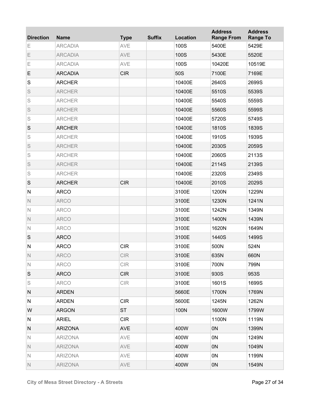| <b>Direction</b> | <b>Name</b>    | <b>Type</b>                        | <b>Suffix</b> | <b>Location</b> | <b>Address</b><br><b>Range From</b> | <b>Address</b><br><b>Range To</b> |
|------------------|----------------|------------------------------------|---------------|-----------------|-------------------------------------|-----------------------------------|
| Ε                | <b>ARCADIA</b> | AVE                                |               | 100S            | 5400E                               | 5429E                             |
| Ε                | <b>ARCADIA</b> | AVE                                |               | 100S            | 5430E                               | 5520E                             |
| Е                | <b>ARCADIA</b> | AVE                                |               | 100S            | 10420E                              | 10519E                            |
| E                | <b>ARCADIA</b> | <b>CIR</b>                         |               | 50S             | 7100E                               | 7169E                             |
| S                | <b>ARCHER</b>  |                                    |               | 10400E          | 2640S                               | 2699S                             |
| S                | <b>ARCHER</b>  |                                    |               | 10400E          | 5510S                               | 5539S                             |
| S                | <b>ARCHER</b>  |                                    |               | 10400E          | 5540S                               | 5559S                             |
| S                | <b>ARCHER</b>  |                                    |               | 10400E          | 5560S                               | 5599S                             |
| S                | <b>ARCHER</b>  |                                    |               | 10400E          | 5720S                               | 5749S                             |
| $\mathsf S$      | <b>ARCHER</b>  |                                    |               | 10400E          | 1810S                               | 1839S                             |
| S                | <b>ARCHER</b>  |                                    |               | 10400E          | 1910S                               | 1939S                             |
| S                | <b>ARCHER</b>  |                                    |               | 10400E          | 2030S                               | 2059S                             |
| S                | <b>ARCHER</b>  |                                    |               | 10400E          | 2060S                               | 2113S                             |
| S                | <b>ARCHER</b>  |                                    |               | 10400E          | 2114S                               | 2139S                             |
| S                | <b>ARCHER</b>  |                                    |               | 10400E          | 2320S                               | 2349S                             |
| $\mathsf S$      | <b>ARCHER</b>  | <b>CIR</b>                         |               | 10400E          | 2010S                               | 2029S                             |
| ${\sf N}$        | <b>ARCO</b>    |                                    |               | 3100E           | 1200N                               | 1229N                             |
| $\mathbb N$      | <b>ARCO</b>    |                                    |               | 3100E           | 1230N                               | 1241N                             |
| $\mathsf{N}$     | <b>ARCO</b>    |                                    |               | 3100E           | 1242N                               | 1349N                             |
| $\mathbb N$      | <b>ARCO</b>    |                                    |               | 3100E           | 1400N                               | 1439N                             |
| $\mathbb N$      | <b>ARCO</b>    |                                    |               | 3100E           | 1620N                               | 1649N                             |
| S                | <b>ARCO</b>    |                                    |               | 3100E           | 1440S                               | 1499S                             |
| ${\sf N}$        | <b>ARCO</b>    | <b>CIR</b>                         |               | 3100E           | 500N                                | 524N                              |
| N                | <b>ARCO</b>    | $\ensuremath{\mathsf{CIR}}\xspace$ |               | 3100E           | 635N                                | 660N                              |
| $\mathsf{N}$     | <b>ARCO</b>    | CIR                                |               | 3100E           | 700N                                | 799N                              |
| S                | <b>ARCO</b>    | <b>CIR</b>                         |               | 3100E           | 930S                                | 953S                              |
| S                | <b>ARCO</b>    | CIR                                |               | 3100E           | 1601S                               | 1699S                             |
| N                | <b>ARDEN</b>   |                                    |               | 5660E           | 1700N                               | 1769N                             |
| N                | <b>ARDEN</b>   | <b>CIR</b>                         |               | 5600E           | 1245N                               | 1262N                             |
| W                | <b>ARGON</b>   | <b>ST</b>                          |               | 100N            | 1600W                               | 1799W                             |
| N                | <b>ARIEL</b>   | <b>CIR</b>                         |               |                 | 1100N                               | 1119N                             |
| N                | <b>ARIZONA</b> | <b>AVE</b>                         |               | 400W            | 0N                                  | 1399N                             |
| N                | <b>ARIZONA</b> | AVE                                |               | 400W            | 0N                                  | 1249N                             |
| $\mathbb N$      | <b>ARIZONA</b> | AVE                                |               | 400W            | 0N                                  | 1049N                             |
| N                | <b>ARIZONA</b> | AVE                                |               | 400W            | 0N                                  | 1199N                             |
| N                | <b>ARIZONA</b> | AVE                                |               | 400W            | 0N                                  | 1549N                             |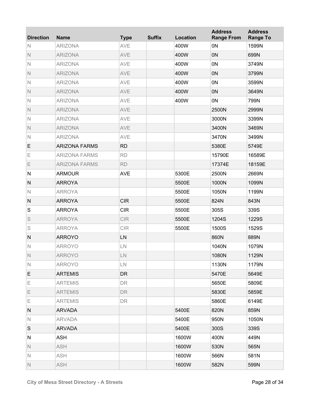| <b>Direction</b> | <b>Name</b>          | <b>Type</b>     | <b>Suffix</b> | <b>Location</b> | <b>Address</b><br><b>Range From</b> | <b>Address</b><br><b>Range To</b> |
|------------------|----------------------|-----------------|---------------|-----------------|-------------------------------------|-----------------------------------|
| N                | <b>ARIZONA</b>       | AVE             |               | 400W            | 0N                                  | 1599N                             |
| $\mathbb N$      | <b>ARIZONA</b>       | AVE             |               | 400W            | 0 <sub>N</sub>                      | 699N                              |
| $\mathsf{N}$     | <b>ARIZONA</b>       | AVE             |               | 400W            | 0N                                  | 3749N                             |
| $\mathbb N$      | <b>ARIZONA</b>       | <b>AVE</b>      |               | 400W            | 0 <sub>N</sub>                      | 3799N                             |
| $\mathsf{N}$     | <b>ARIZONA</b>       | AVE             |               | 400W            | 0N                                  | 3599N                             |
| $\mathbb N$      | <b>ARIZONA</b>       | AVE             |               | 400W            | 0N                                  | 3649N                             |
| $\mathsf{N}$     | <b>ARIZONA</b>       | AVE             |               | 400W            | 0N                                  | 799N                              |
| $\mathbb N$      | <b>ARIZONA</b>       | <b>AVE</b>      |               |                 | 2500N                               | 2999N                             |
| $\mathsf{N}$     | <b>ARIZONA</b>       | AVE             |               |                 | 3000N                               | 3399N                             |
| $\mathbb N$      | <b>ARIZONA</b>       | AVE             |               |                 | 3400N                               | 3469N                             |
| $\mathsf{N}$     | <b>ARIZONA</b>       | AVE             |               |                 | 3470N                               | 3499N                             |
| E                | <b>ARIZONA FARMS</b> | <b>RD</b>       |               |                 | 5380E                               | 5749E                             |
| E                | <b>ARIZONA FARMS</b> | <b>RD</b>       |               |                 | 15790E                              | 16589E                            |
| E                | <b>ARIZONA FARMS</b> | <b>RD</b>       |               |                 | 17374E                              | 18159E                            |
| $\mathsf{N}$     | <b>ARMOUR</b>        | <b>AVE</b>      |               | 5300E           | 2500N                               | 2669N                             |
| ${\sf N}$        | <b>ARROYA</b>        |                 |               | 5500E           | 1000N                               | 1099N                             |
| $\mathbb N$      | <b>ARROYA</b>        |                 |               | 5500E           | 1050N                               | 1199N                             |
| ${\sf N}$        | <b>ARROYA</b>        | <b>CIR</b>      |               | 5500E           | 824N                                | 843N                              |
| $\mathbf S$      | <b>ARROYA</b>        | <b>CIR</b>      |               | 5500E           | 305S                                | 339S                              |
| S                | <b>ARROYA</b>        | <b>CIR</b>      |               | 5500E           | 1204S                               | 1229S                             |
| S                | <b>ARROYA</b>        | <b>CIR</b>      |               | 5500E           | 1500S                               | 1529S                             |
| ${\sf N}$        | <b>ARROYO</b>        | LN              |               |                 | 860N                                | 889N                              |
| $\mathbb N$      | <b>ARROYO</b>        | LN              |               |                 | 1040N                               | 1079N                             |
| $\mathbb N$      | <b>ARROYO</b>        | $\mathsf{LN}\,$ |               |                 | 1080N                               | 1129N                             |
| N                | <b>ARROYO</b>        | $\mathsf{LN}$   |               |                 | 1130N                               | 1179N                             |
| E.               | <b>ARTEMIS</b>       | DR              |               |                 | 5470E                               | 5649E                             |
| Е                | <b>ARTEMIS</b>       | <b>DR</b>       |               |                 | 5650E                               | 5809E                             |
| E                | <b>ARTEMIS</b>       | DR.             |               |                 | 5830E                               | 5859E                             |
| E                | <b>ARTEMIS</b>       | DR.             |               |                 | 5860E                               | 6149E                             |
| N                | <b>ARVADA</b>        |                 |               | 5400E           | 820N                                | 859N                              |
| N                | <b>ARVADA</b>        |                 |               | 5400E           | 950N                                | 1050N                             |
| S                | <b>ARVADA</b>        |                 |               | 5400E           | 300S                                | 339S                              |
| N                | ASH                  |                 |               | 1600W           | 400N                                | 449N                              |
| N                | <b>ASH</b>           |                 |               | 1600W           | 530N                                | 565N                              |
| $\mathsf{N}$     | <b>ASH</b>           |                 |               | 1600W           | 566N                                | 581N                              |
| $\mathbb N$      | <b>ASH</b>           |                 |               | 1600W           | 582N                                | 599N                              |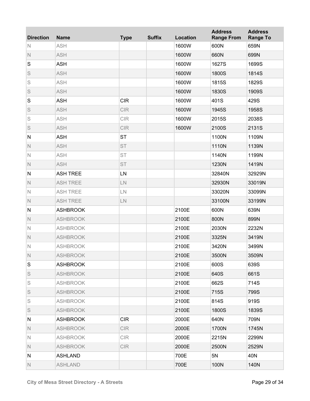| <b>Direction</b> | <b>Name</b>     | <b>Type</b> | <b>Suffix</b> | Location | <b>Address</b><br><b>Range From</b> | <b>Address</b><br><b>Range To</b> |
|------------------|-----------------|-------------|---------------|----------|-------------------------------------|-----------------------------------|
| N                | <b>ASH</b>      |             |               | 1600W    | 600N                                | 659N                              |
| $\mathbb N$      | <b>ASH</b>      |             |               | 1600W    | 660N                                | 699N                              |
| S                | <b>ASH</b>      |             |               | 1600W    | 1627S                               | 1699S                             |
| S                | <b>ASH</b>      |             |               | 1600W    | 1800S                               | 1814S                             |
| S                | <b>ASH</b>      |             |               | 1600W    | 1815S                               | 1829S                             |
| S                | <b>ASH</b>      |             |               | 1600W    | 1830S                               | 1909S                             |
| S                | <b>ASH</b>      | <b>CIR</b>  |               | 1600W    | 401S                                | 429S                              |
| S                | <b>ASH</b>      | <b>CIR</b>  |               | 1600W    | 1945S                               | 1958S                             |
| S                | <b>ASH</b>      | CIR         |               | 1600W    | 2015S                               | 2038S                             |
| S                | <b>ASH</b>      | <b>CIR</b>  |               | 1600W    | 2100S                               | 2131S                             |
| ${\sf N}$        | <b>ASH</b>      | <b>ST</b>   |               |          | 1100N                               | 1109N                             |
| $\mathbb N$      | <b>ASH</b>      | <b>ST</b>   |               |          | 1110N                               | 1139N                             |
| $\mathbb N$      | <b>ASH</b>      | <b>ST</b>   |               |          | 1140N                               | 1199N                             |
| $\mathbb N$      | <b>ASH</b>      | <b>ST</b>   |               |          | 1230N                               | 1419N                             |
| ${\sf N}$        | <b>ASH TREE</b> | LN          |               |          | 32840N                              | 32929N                            |
| $\mathbb N$      | <b>ASH TREE</b> | LN          |               |          | 32930N                              | 33019N                            |
| $\mathbb N$      | <b>ASH TREE</b> | ${\sf LN}$  |               |          | 33020N                              | 33099N                            |
| $\mathbb N$      | <b>ASH TREE</b> | ${\sf LN}$  |               |          | 33100N                              | 33199N                            |
| ${\sf N}$        | <b>ASHBROOK</b> |             |               | 2100E    | 600N                                | 639N                              |
| $\mathbb N$      | <b>ASHBROOK</b> |             |               | 2100E    | 800N                                | 899N                              |
| $\mathbb N$      | <b>ASHBROOK</b> |             |               | 2100E    | 2030N                               | 2232N                             |
| $\mathbb N$      | <b>ASHBROOK</b> |             |               | 2100E    | 3325N                               | 3419N                             |
| $\mathbb N$      | <b>ASHBROOK</b> |             |               | 2100E    | 3420N                               | 3499N                             |
| Ν                | <b>ASHBROOK</b> |             |               | 2100E    | 3500N                               | 3509N                             |
| S                | <b>ASHBROOK</b> |             |               | 2100E    | 600S                                | 639S                              |
| S                | <b>ASHBROOK</b> |             |               | 2100E    | 640S                                | 661S                              |
| S                | <b>ASHBROOK</b> |             |               | 2100E    | 662S                                | 714S                              |
| S                | <b>ASHBROOK</b> |             |               | 2100E    | 715S                                | 799S                              |
| S                | <b>ASHBROOK</b> |             |               | 2100E    | 814S                                | 919S                              |
| S                | <b>ASHBROOK</b> |             |               | 2100E    | 1800S                               | 1839S                             |
| N                | <b>ASHBROOK</b> | <b>CIR</b>  |               | 2000E    | 640N                                | 709N                              |
| $\mathbb N$      | <b>ASHBROOK</b> | <b>CIR</b>  |               | 2000E    | 1700N                               | 1745N                             |
| N                | <b>ASHBROOK</b> | CIR         |               | 2000E    | 2215N                               | 2299N                             |
| $\mathbb N$      | <b>ASHBROOK</b> | <b>CIR</b>  |               | 2000E    | 2500N                               | 2529N                             |
| N                | <b>ASHLAND</b>  |             |               | 700E     | 5N                                  | 40N                               |
| $\mathbb N$      | <b>ASHLAND</b>  |             |               | 700E     | 100N                                | 140N                              |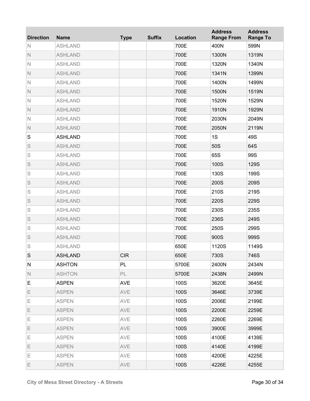| <b>Direction</b> | <b>Name</b>    | <b>Type</b> | <b>Suffix</b> | Location | <b>Address</b><br><b>Range From</b> | <b>Address</b><br><b>Range To</b> |
|------------------|----------------|-------------|---------------|----------|-------------------------------------|-----------------------------------|
| N                | <b>ASHLAND</b> |             |               | 700E     | 400N                                | 599N                              |
| $\mathbb N$      | <b>ASHLAND</b> |             |               | 700E     | 1300N                               | 1319N                             |
| $\mathbb N$      | <b>ASHLAND</b> |             |               | 700E     | 1320N                               | 1340N                             |
| $\mathbb N$      | <b>ASHLAND</b> |             |               | 700E     | 1341N                               | 1399N                             |
| $\mathbb N$      | <b>ASHLAND</b> |             |               | 700E     | 1400N                               | 1499N                             |
| $\mathbb N$      | <b>ASHLAND</b> |             |               | 700E     | 1500N                               | 1519N                             |
| $\mathbb N$      | <b>ASHLAND</b> |             |               | 700E     | 1520N                               | 1529N                             |
| $\mathbb N$      | <b>ASHLAND</b> |             |               | 700E     | 1910N                               | 1929N                             |
| $\mathbb N$      | <b>ASHLAND</b> |             |               | 700E     | 2030N                               | 2049N                             |
| $\mathbb N$      | <b>ASHLAND</b> |             |               | 700E     | 2050N                               | 2119N                             |
| S                | <b>ASHLAND</b> |             |               | 700E     | 1S                                  | 49S                               |
| S                | <b>ASHLAND</b> |             |               | 700E     | 50S                                 | 64S                               |
| S                | <b>ASHLAND</b> |             |               | 700E     | 65S                                 | 99S                               |
| S                | <b>ASHLAND</b> |             |               | 700E     | 100S                                | 129S                              |
| S                | <b>ASHLAND</b> |             |               | 700E     | 130S                                | 199S                              |
| S                | <b>ASHLAND</b> |             |               | 700E     | 200S                                | 209S                              |
| S                | <b>ASHLAND</b> |             |               | 700E     | 210S                                | 219S                              |
| S                | <b>ASHLAND</b> |             |               | 700E     | 220S                                | 229S                              |
| S                | <b>ASHLAND</b> |             |               | 700E     | 230S                                | 235S                              |
| S                | <b>ASHLAND</b> |             |               | 700E     | 236S                                | 249S                              |
| S                | <b>ASHLAND</b> |             |               | 700E     | 250S                                | 299S                              |
| S                | <b>ASHLAND</b> |             |               | 700E     | 900S                                | 999S                              |
| S                | <b>ASHLAND</b> |             |               | 650E     | 1120S                               | 1149S                             |
| S                | <b>ASHLAND</b> | <b>CIR</b>  |               | 650E     | 730S                                | 746S                              |
| N                | <b>ASHTON</b>  | PL          |               | 5700E    | 2400N                               | 2434N                             |
| $\mathbb N$      | <b>ASHTON</b>  | PL          |               | 5700E    | 2438N                               | 2499N                             |
| Е                | <b>ASPEN</b>   | <b>AVE</b>  |               | 100S     | 3620E                               | 3645E                             |
| E.               | <b>ASPEN</b>   | AVE         |               | 100S     | 3646E                               | 3739E                             |
| Ε                | <b>ASPEN</b>   | AVE         |               | 100S     | 2006E                               | 2199E                             |
| E.               | <b>ASPEN</b>   | AVE         |               | 100S     | 2200E                               | 2259E                             |
| Ε                | <b>ASPEN</b>   | AVE         |               | 100S     | 2260E                               | 2269E                             |
| E.               | <b>ASPEN</b>   | AVE         |               | 100S     | 3900E                               | 3999E                             |
| Ε                | <b>ASPEN</b>   | AVE         |               | 100S     | 4100E                               | 4139E                             |
| E.               | <b>ASPEN</b>   | AVE         |               | 100S     | 4140E                               | 4199E                             |
| Е                | <b>ASPEN</b>   | AVE         |               | 100S     | 4200E                               | 4225E                             |
| E                | <b>ASPEN</b>   | AVE         |               | 100S     | 4226E                               | 4255E                             |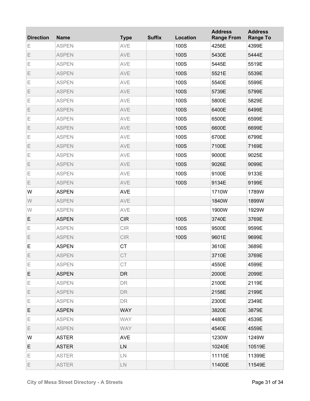| <b>Direction</b> | <b>Name</b>  | <b>Type</b> | <b>Suffix</b> | Location | <b>Address</b><br><b>Range From</b> | <b>Address</b><br><b>Range To</b> |
|------------------|--------------|-------------|---------------|----------|-------------------------------------|-----------------------------------|
| Ε                | <b>ASPEN</b> | AVE         |               | 100S     | 4256E                               | 4399E                             |
| Ε                | <b>ASPEN</b> | AVE         |               | 100S     | 5430E                               | 5444E                             |
| Е                | <b>ASPEN</b> | AVE         |               | 100S     | 5445E                               | 5519E                             |
| Ε                | <b>ASPEN</b> | AVE         |               | 100S     | 5521E                               | 5539E                             |
| Е                | <b>ASPEN</b> | AVE         |               | 100S     | 5540E                               | 5599E                             |
| Ε                | <b>ASPEN</b> | AVE         |               | 100S     | 5739E                               | 5799E                             |
| E                | <b>ASPEN</b> | AVE         |               | 100S     | 5800E                               | 5829E                             |
| Ε                | <b>ASPEN</b> | AVE         |               | 100S     | 6400E                               | 6499E                             |
| Е                | <b>ASPEN</b> | AVE         |               | 100S     | 6500E                               | 6599E                             |
| Ε                | <b>ASPEN</b> | AVE         |               | 100S     | 6600E                               | 6699E                             |
| Е                | <b>ASPEN</b> | AVE         |               | 100S     | 6700E                               | 6799E                             |
| Ε                | <b>ASPEN</b> | AVE         |               | 100S     | 7100E                               | 7169E                             |
| E                | <b>ASPEN</b> | AVE         |               | 100S     | 9000E                               | 9025E                             |
| E                | <b>ASPEN</b> | AVE         |               | 100S     | 9026E                               | 9099E                             |
| Е                | <b>ASPEN</b> | AVE         |               | 100S     | 9100E                               | 9133E                             |
| E                | <b>ASPEN</b> | AVE         |               | 100S     | 9134E                               | 9199E                             |
| W                | <b>ASPEN</b> | <b>AVE</b>  |               |          | 1710W                               | 1789W                             |
| W                | <b>ASPEN</b> | AVE         |               |          | 1840W                               | 1899W                             |
| W                | <b>ASPEN</b> | AVE         |               |          | 1900W                               | 1929W                             |
| E                | <b>ASPEN</b> | <b>CIR</b>  |               | 100S     | 3740E                               | 3769E                             |
| E                | <b>ASPEN</b> | CIR         |               | 100S     | 9500E                               | 9599E                             |
| Ε                | <b>ASPEN</b> | CIR         |               | 100S     | 9601E                               | 9699E                             |
| E                | <b>ASPEN</b> | <b>CT</b>   |               |          | 3610E                               | 3689E                             |
| Ε                | <b>ASPEN</b> | CT          |               |          | 3710E                               | 3769E                             |
| Ε                | <b>ASPEN</b> | <b>CT</b>   |               |          | 4550E                               | 4599E                             |
| E                | <b>ASPEN</b> | <b>DR</b>   |               |          | 2000E                               | 2099E                             |
| Е                | <b>ASPEN</b> | <b>DR</b>   |               |          | 2100E                               | 2119E                             |
| E                | <b>ASPEN</b> | <b>DR</b>   |               |          | 2158E                               | 2199E                             |
| Е                | <b>ASPEN</b> | <b>DR</b>   |               |          | 2300E                               | 2349E                             |
| E                | <b>ASPEN</b> | <b>WAY</b>  |               |          | 3820E                               | 3879E                             |
| Е                | <b>ASPEN</b> | <b>WAY</b>  |               |          | 4480E                               | 4539E                             |
| E                | <b>ASPEN</b> | <b>WAY</b>  |               |          | 4540E                               | 4559E                             |
| W                | <b>ASTER</b> | <b>AVE</b>  |               |          | 1230W                               | 1249W                             |
| E                | <b>ASTER</b> | LN          |               |          | 10240E                              | 10519E                            |
| Е                | <b>ASTER</b> | LN.         |               |          | 11110E                              | 11399E                            |
| E                | <b>ASTER</b> | LN.         |               |          | 11400E                              | 11549E                            |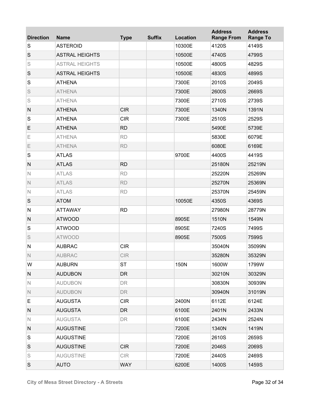| <b>Direction</b> | <b>Name</b>           | <b>Type</b> | <b>Suffix</b> | <b>Location</b> | <b>Address</b><br><b>Range From</b> | <b>Address</b><br><b>Range To</b> |
|------------------|-----------------------|-------------|---------------|-----------------|-------------------------------------|-----------------------------------|
| S                | <b>ASTEROID</b>       |             |               | 10300E          | 4120S                               | 4149S                             |
| $\mathsf S$      | <b>ASTRAL HEIGHTS</b> |             |               | 10500E          | 4740S                               | 4799S                             |
| S                | <b>ASTRAL HEIGHTS</b> |             |               | 10500E          | 4800S                               | 4829S                             |
| S                | <b>ASTRAL HEIGHTS</b> |             |               | 10500E          | 4830S                               | 4899S                             |
| S                | <b>ATHENA</b>         |             |               | 7300E           | 2010S                               | 2049S                             |
| S                | <b>ATHENA</b>         |             |               | 7300E           | 2600S                               | 2669S                             |
| S                | <b>ATHENA</b>         |             |               | 7300E           | 2710S                               | 2739S                             |
| $\mathsf{N}$     | <b>ATHENA</b>         | <b>CIR</b>  |               | 7300E           | 1340N                               | 1391N                             |
| S                | <b>ATHENA</b>         | <b>CIR</b>  |               | 7300E           | 2510S                               | 2529S                             |
| E                | <b>ATHENA</b>         | <b>RD</b>   |               |                 | 5490E                               | 5739E                             |
| Е                | <b>ATHENA</b>         | <b>RD</b>   |               |                 | 5830E                               | 6079E                             |
| Ε                | <b>ATHENA</b>         | <b>RD</b>   |               |                 | 6080E                               | 6169E                             |
| S                | <b>ATLAS</b>          |             |               | 9700E           | 4400S                               | 4419S                             |
| $\mathsf{N}$     | <b>ATLAS</b>          | <b>RD</b>   |               |                 | 25180N                              | 25219N                            |
| $\mathbb N$      | <b>ATLAS</b>          | <b>RD</b>   |               |                 | 25220N                              | 25269N                            |
| $\mathbb N$      | <b>ATLAS</b>          | <b>RD</b>   |               |                 | 25270N                              | 25369N                            |
| $\mathbb N$      | <b>ATLAS</b>          | <b>RD</b>   |               |                 | 25370N                              | 25459N                            |
| S                | <b>ATOM</b>           |             |               | 10050E          | 4350S                               | 4369S                             |
| ${\sf N}$        | <b>ATTAWAY</b>        | <b>RD</b>   |               |                 | 27980N                              | 28779N                            |
| ${\sf N}$        | <b>ATWOOD</b>         |             |               | 8905E           | 1510N                               | 1549N                             |
| S                | <b>ATWOOD</b>         |             |               | 8905E           | 7240S                               | 7499S                             |
| S                | <b>ATWOOD</b>         |             |               | 8905E           | 7500S                               | 7599S                             |
| ${\sf N}$        | <b>AUBRAC</b>         | <b>CIR</b>  |               |                 | 35040N                              | 35099N                            |
| Ν                | <b>AUBRAC</b>         | CIR         |               |                 | 35280N                              | 35329N                            |
| W                | <b>AUBURN</b>         | <b>ST</b>   |               | 150N            | 1600W                               | 1799W                             |
| N                | <b>AUDUBON</b>        | DR          |               |                 | 30210N                              | 30329N                            |
| $\mathbb N$      | <b>AUDUBON</b>        | <b>DR</b>   |               |                 | 30830N                              | 30939N                            |
| $\mathbb N$      | <b>AUDUBON</b>        | <b>DR</b>   |               |                 | 30940N                              | 31019N                            |
| Е                | <b>AUGUSTA</b>        | <b>CIR</b>  |               | 2400N           | 6112E                               | 6124E                             |
| N                | <b>AUGUSTA</b>        | <b>DR</b>   |               | 6100E           | 2401N                               | 2433N                             |
| N                | <b>AUGUSTA</b>        | DR          |               | 6100E           | 2434N                               | 2524N                             |
| N                | <b>AUGUSTINE</b>      |             |               | 7200E           | 1340N                               | 1419N                             |
| S                | <b>AUGUSTINE</b>      |             |               | 7200E           | 2610S                               | 2659S                             |
| S                | <b>AUGUSTINE</b>      | <b>CIR</b>  |               | 7200E           | 2046S                               | 2069S                             |
| S                | <b>AUGUSTINE</b>      | CIR         |               | 7200E           | 2440S                               | 2469S                             |
| S                | <b>AUTO</b>           | <b>WAY</b>  |               | 6200E           | 1400S                               | 1459S                             |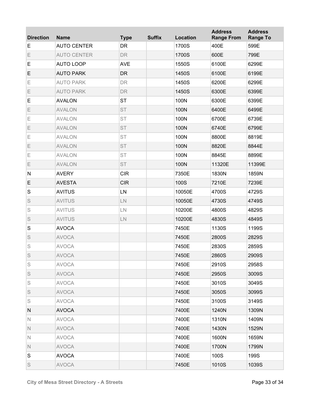| <b>Direction</b> | <b>Name</b>        | <b>Type</b> | <b>Suffix</b> | Location | <b>Address</b><br><b>Range From</b> | <b>Address</b><br><b>Range To</b> |
|------------------|--------------------|-------------|---------------|----------|-------------------------------------|-----------------------------------|
| E                | <b>AUTO CENTER</b> | <b>DR</b>   |               | 1700S    | 400E                                | 599E                              |
| E                | <b>AUTO CENTER</b> | <b>DR</b>   |               | 1700S    | 600E                                | 799E                              |
| E                | <b>AUTO LOOP</b>   | <b>AVE</b>  |               | 1550S    | 6100E                               | 6299E                             |
| E                | <b>AUTO PARK</b>   | <b>DR</b>   |               | 1450S    | 6100E                               | 6199E                             |
| Ε                | <b>AUTO PARK</b>   | <b>DR</b>   |               | 1450S    | 6200E                               | 6299E                             |
| Ε                | <b>AUTO PARK</b>   | <b>DR</b>   |               | 1450S    | 6300E                               | 6399E                             |
| E                | <b>AVALON</b>      | <b>ST</b>   |               | 100N     | 6300E                               | 6399E                             |
| Ε                | <b>AVALON</b>      | <b>ST</b>   |               | 100N     | 6400E                               | 6499E                             |
| Ε                | <b>AVALON</b>      | <b>ST</b>   |               | 100N     | 6700E                               | 6739E                             |
| Ε                | <b>AVALON</b>      | <b>ST</b>   |               | 100N     | 6740E                               | 6799E                             |
| Ε                | <b>AVALON</b>      | <b>ST</b>   |               | 100N     | 8800E                               | 8819E                             |
| Ε                | <b>AVALON</b>      | <b>ST</b>   |               | 100N     | 8820E                               | 8844E                             |
| Ε                | <b>AVALON</b>      | <b>ST</b>   |               | 100N     | 8845E                               | 8899E                             |
| Ε                | <b>AVALON</b>      | <b>ST</b>   |               | 100N     | 11320E                              | 11399E                            |
| $\mathsf{N}$     | <b>AVERY</b>       | <b>CIR</b>  |               | 7350E    | 1830N                               | 1859N                             |
| E                | <b>AVESTA</b>      | <b>CIR</b>  |               | 100S     | 7210E                               | 7239E                             |
| $\mathbf S$      | <b>AVITUS</b>      | LN          |               | 10050E   | 4700S                               | 4729S                             |
| S                | <b>AVITUS</b>      | ${\sf LN}$  |               | 10050E   | 4730S                               | 4749S                             |
| S                | <b>AVITUS</b>      | ${\sf LN}$  |               | 10200E   | 4800S                               | 4829S                             |
| S                | <b>AVITUS</b>      | ${\sf LN}$  |               | 10200E   | 4830S                               | 4849S                             |
| $\mathbf S$      | <b>AVOCA</b>       |             |               | 7450E    | 1130S                               | 1199S                             |
| S                | <b>AVOCA</b>       |             |               | 7450E    | 2800S                               | 2829S                             |
| S                | <b>AVOCA</b>       |             |               | 7450E    | 2830S                               | 2859S                             |
| S                | <b>AVOCA</b>       |             |               | 7450E    | 2860S                               | 2909S                             |
| S                | <b>AVOCA</b>       |             |               | 7450E    | 2910S                               | 2958S                             |
| S                | <b>AVOCA</b>       |             |               | 7450E    | 2950S                               | 3009S                             |
| S                | <b>AVOCA</b>       |             |               | 7450E    | 3010S                               | 3049S                             |
| S                | <b>AVOCA</b>       |             |               | 7450E    | 3050S                               | 3099S                             |
| S                | <b>AVOCA</b>       |             |               | 7450E    | 3100S                               | 3149S                             |
| N                | <b>AVOCA</b>       |             |               | 7400E    | 1240N                               | 1309N                             |
| N                | <b>AVOCA</b>       |             |               | 7400E    | 1310N                               | 1409N                             |
| N.               | <b>AVOCA</b>       |             |               | 7400E    | 1430N                               | 1529N                             |
| N                | <b>AVOCA</b>       |             |               | 7400E    | 1600N                               | 1659N                             |
| N                | <b>AVOCA</b>       |             |               | 7400E    | 1700N                               | 1799N                             |
| S                | <b>AVOCA</b>       |             |               | 7400E    | 100S                                | 199S                              |
| S                | <b>AVOCA</b>       |             |               | 7450E    | 1010S                               | 1039S                             |